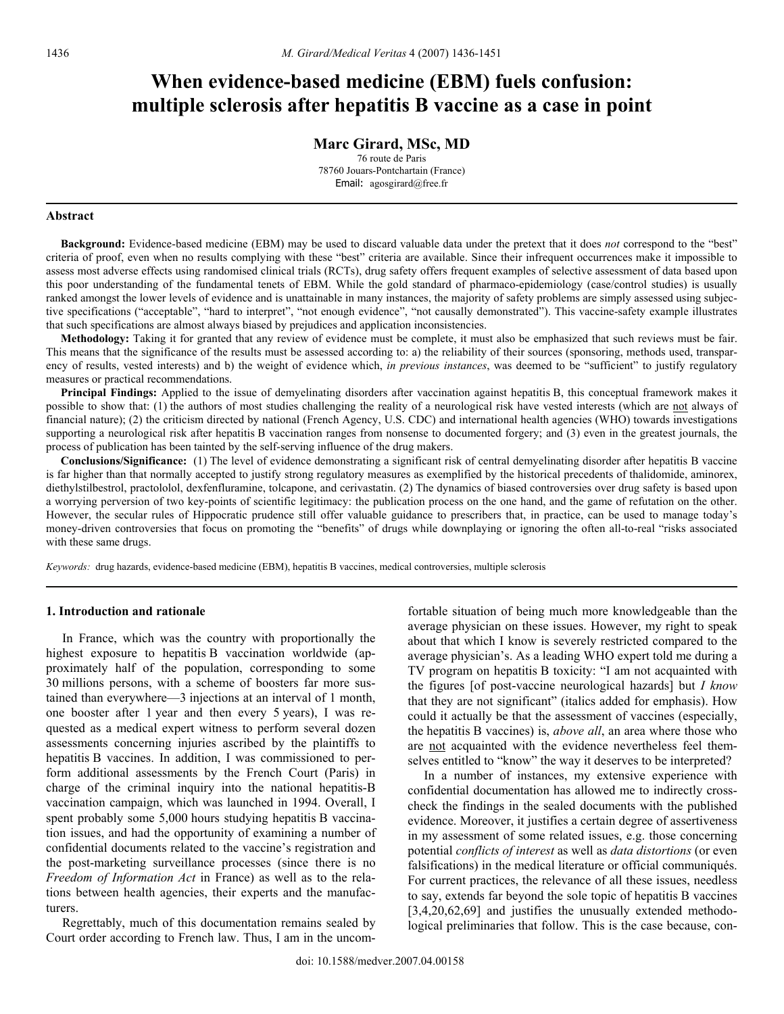# **When evidence-based medicine (EBM) fuels confusion: multiple sclerosis after hepatitis B vaccine as a case in point**

### **Marc Girard, MSc, MD**

76 route de Paris 78760 Jouars-Pontchartain (France) Email: agosgirard@free.fr

#### **Abstract**

 **Background:** Evidence-based medicine (EBM) may be used to discard valuable data under the pretext that it does *not* correspond to the "best" criteria of proof, even when no results complying with these "best" criteria are available. Since their infrequent occurrences make it impossible to assess most adverse effects using randomised clinical trials (RCTs), drug safety offers frequent examples of selective assessment of data based upon this poor understanding of the fundamental tenets of EBM. While the gold standard of pharmaco-epidemiology (case/control studies) is usually ranked amongst the lower levels of evidence and is unattainable in many instances, the majority of safety problems are simply assessed using subjective specifications ("acceptable", "hard to interpret", "not enough evidence", "not causally demonstrated"). This vaccine-safety example illustrates that such specifications are almost always biased by prejudices and application inconsistencies.

 **Methodology:** Taking it for granted that any review of evidence must be complete, it must also be emphasized that such reviews must be fair. This means that the significance of the results must be assessed according to: a) the reliability of their sources (sponsoring, methods used, transparency of results, vested interests) and b) the weight of evidence which, *in previous instances*, was deemed to be "sufficient" to justify regulatory measures or practical recommendations.

**Principal Findings:** Applied to the issue of demyelinating disorders after vaccination against hepatitis B, this conceptual framework makes it possible to show that: (1) the authors of most studies challenging the reality of a neurological risk have vested interests (which are not always of financial nature); (2) the criticism directed by national (French Agency, U.S. CDC) and international health agencies (WHO) towards investigations supporting a neurological risk after hepatitis B vaccination ranges from nonsense to documented forgery; and (3) even in the greatest journals, the process of publication has been tainted by the self-serving influence of the drug makers.

 **Conclusions/Significance:** (1) The level of evidence demonstrating a significant risk of central demyelinating disorder after hepatitis B vaccine is far higher than that normally accepted to justify strong regulatory measures as exemplified by the historical precedents of thalidomide, aminorex, diethylstilbestrol, practololol, dexfenfluramine, tolcapone, and cerivastatin. (2) The dynamics of biased controversies over drug safety is based upon a worrying perversion of two key-points of scientific legitimacy: the publication process on the one hand, and the game of refutation on the other. However, the secular rules of Hippocratic prudence still offer valuable guidance to prescribers that, in practice, can be used to manage today's money-driven controversies that focus on promoting the "benefits" of drugs while downplaying or ignoring the often all-to-real "risks associated with these same drugs.

*Keywords:* drug hazards, evidence-based medicine (EBM), hepatitis B vaccines, medical controversies, multiple sclerosis

#### **1. Introduction and rationale**

 In France, which was the country with proportionally the highest exposure to hepatitis B vaccination worldwide (approximately half of the population, corresponding to some 30 millions persons, with a scheme of boosters far more sustained than everywhere—3 injections at an interval of 1 month, one booster after 1 year and then every 5 years), I was requested as a medical expert witness to perform several dozen assessments concerning injuries ascribed by the plaintiffs to hepatitis B vaccines. In addition, I was commissioned to perform additional assessments by the French Court (Paris) in charge of the criminal inquiry into the national hepatitis-B vaccination campaign, which was launched in 1994. Overall, I spent probably some 5,000 hours studying hepatitis B vaccination issues, and had the opportunity of examining a number of confidential documents related to the vaccine's registration and the post-marketing surveillance processes (since there is no *Freedom of Information Act* in France) as well as to the relations between health agencies, their experts and the manufacturers.

 Regrettably, much of this documentation remains sealed by Court order according to French law. Thus, I am in the uncomfortable situation of being much more knowledgeable than the average physician on these issues. However, my right to speak about that which I know is severely restricted compared to the average physician's. As a leading WHO expert told me during a TV program on hepatitis B toxicity: "I am not acquainted with the figures [of post-vaccine neurological hazards] but *I know* that they are not significant" (italics added for emphasis). How could it actually be that the assessment of vaccines (especially, the hepatitis B vaccines) is, *above all*, an area where those who are not acquainted with the evidence nevertheless feel themselves entitled to "know" the way it deserves to be interpreted?

 In a number of instances, my extensive experience with confidential documentation has allowed me to indirectly crosscheck the findings in the sealed documents with the published evidence. Moreover, it justifies a certain degree of assertiveness in my assessment of some related issues, e.g. those concerning potential *conflicts of interest* as well as *data distortions* (or even falsifications) in the medical literature or official communiqués. For current practices, the relevance of all these issues, needless to say, extends far beyond the sole topic of hepatitis B vaccines [3,4,20,62,69] and justifies the unusually extended methodological preliminaries that follow. This is the case because, con-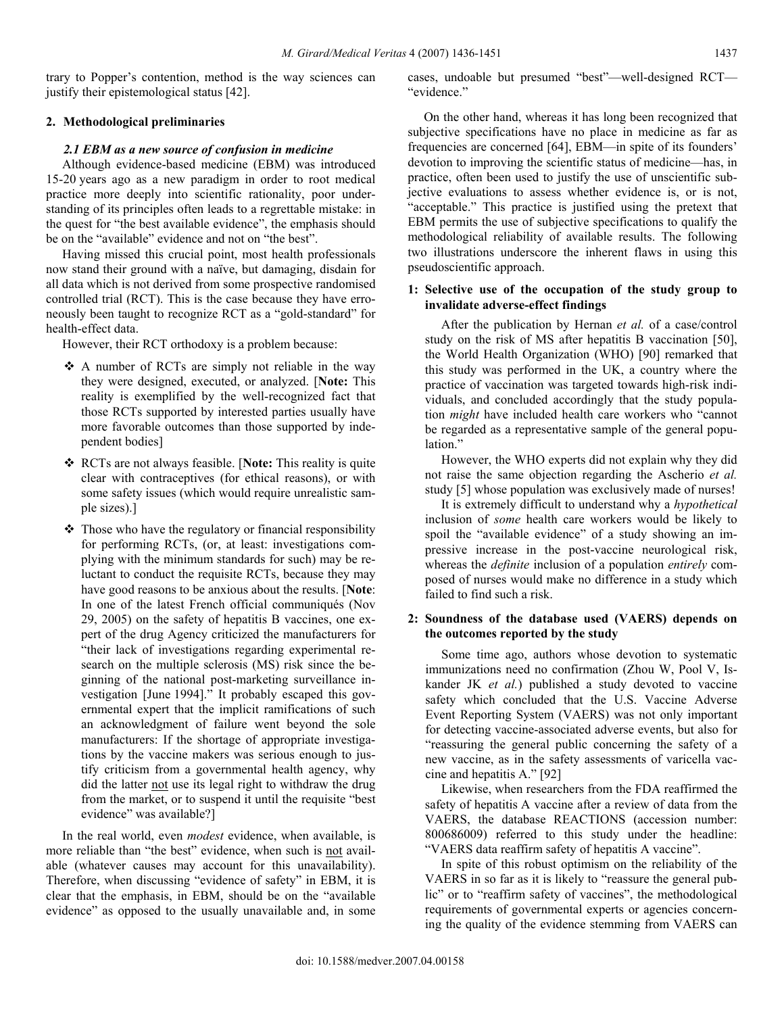trary to Popper's contention, method is the way sciences can justify their epistemological status [42].

# **2. Methodological preliminaries**

# *2.1 EBM as a new source of confusion in medicine*

 Although evidence-based medicine (EBM) was introduced 15-20 years ago as a new paradigm in order to root medical practice more deeply into scientific rationality, poor understanding of its principles often leads to a regrettable mistake: in the quest for "the best available evidence", the emphasis should be on the "available" evidence and not on "the best".

 Having missed this crucial point, most health professionals now stand their ground with a naïve, but damaging, disdain for all data which is not derived from some prospective randomised controlled trial (RCT). This is the case because they have erroneously been taught to recognize RCT as a "gold-standard" for health-effect data.

However, their RCT orthodoxy is a problem because:

- $\triangle$  A number of RCTs are simply not reliable in the way they were designed, executed, or analyzed. [**Note:** This reality is exemplified by the well-recognized fact that those RCTs supported by interested parties usually have more favorable outcomes than those supported by independent bodies]
- RCTs are not always feasible. [**Note:** This reality is quite clear with contraceptives (for ethical reasons), or with some safety issues (which would require unrealistic sample sizes).]
- $\triangle$  Those who have the regulatory or financial responsibility for performing RCTs, (or, at least: investigations complying with the minimum standards for such) may be reluctant to conduct the requisite RCTs, because they may have good reasons to be anxious about the results. [**Note**: In one of the latest French official communiqués (Nov 29, 2005) on the safety of hepatitis B vaccines, one expert of the drug Agency criticized the manufacturers for "their lack of investigations regarding experimental research on the multiple sclerosis (MS) risk since the beginning of the national post-marketing surveillance investigation [June 1994]." It probably escaped this governmental expert that the implicit ramifications of such an acknowledgment of failure went beyond the sole manufacturers: If the shortage of appropriate investigations by the vaccine makers was serious enough to justify criticism from a governmental health agency, why did the latter not use its legal right to withdraw the drug from the market, or to suspend it until the requisite "best evidence" was available?]

 In the real world, even *modest* evidence, when available, is more reliable than "the best" evidence, when such is not available (whatever causes may account for this unavailability). Therefore, when discussing "evidence of safety" in EBM, it is clear that the emphasis, in EBM, should be on the "available evidence" as opposed to the usually unavailable and, in some

cases, undoable but presumed "best"—well-designed RCT— "evidence."

 On the other hand, whereas it has long been recognized that subjective specifications have no place in medicine as far as frequencies are concerned [64], EBM—in spite of its founders' devotion to improving the scientific status of medicine—has, in practice, often been used to justify the use of unscientific subjective evaluations to assess whether evidence is, or is not, "acceptable." This practice is justified using the pretext that EBM permits the use of subjective specifications to qualify the methodological reliability of available results. The following two illustrations underscore the inherent flaws in using this pseudoscientific approach.

# **1: Selective use of the occupation of the study group to invalidate adverse-effect findings**

 After the publication by Hernan *et al.* of a case/control study on the risk of MS after hepatitis B vaccination [50], the World Health Organization (WHO) [90] remarked that this study was performed in the UK, a country where the practice of vaccination was targeted towards high-risk individuals, and concluded accordingly that the study population *might* have included health care workers who "cannot be regarded as a representative sample of the general population."

 However, the WHO experts did not explain why they did not raise the same objection regarding the Ascherio *et al.* study [5] whose population was exclusively made of nurses!

 It is extremely difficult to understand why a *hypothetical*  inclusion of *some* health care workers would be likely to spoil the "available evidence" of a study showing an impressive increase in the post-vaccine neurological risk, whereas the *definite* inclusion of a population *entirely* composed of nurses would make no difference in a study which failed to find such a risk.

## **2: Soundness of the database used (VAERS) depends on the outcomes reported by the study**

 Some time ago, authors whose devotion to systematic immunizations need no confirmation (Zhou W, Pool V, Iskander JK *et al.*) published a study devoted to vaccine safety which concluded that the U.S. Vaccine Adverse Event Reporting System (VAERS) was not only important for detecting vaccine-associated adverse events, but also for "reassuring the general public concerning the safety of a new vaccine, as in the safety assessments of varicella vaccine and hepatitis A." [92]

 Likewise, when researchers from the FDA reaffirmed the safety of hepatitis A vaccine after a review of data from the VAERS, the database REACTIONS (accession number: 800686009) referred to this study under the headline: "VAERS data reaffirm safety of hepatitis A vaccine".

 In spite of this robust optimism on the reliability of the VAERS in so far as it is likely to "reassure the general public" or to "reaffirm safety of vaccines", the methodological requirements of governmental experts or agencies concerning the quality of the evidence stemming from VAERS can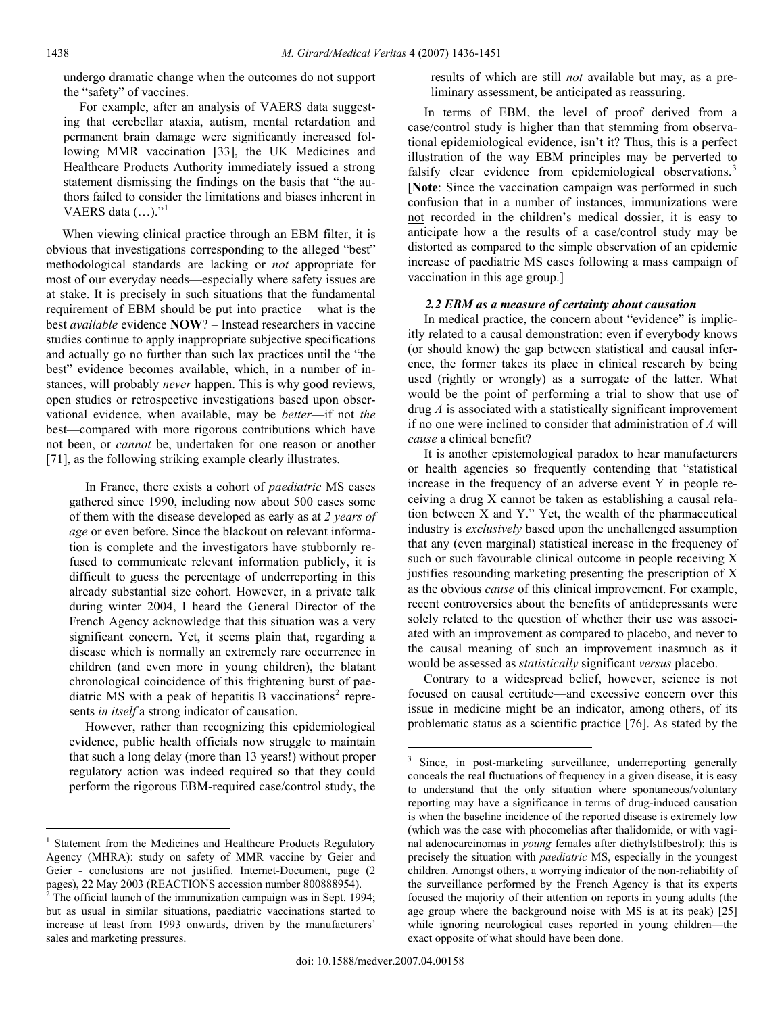undergo dramatic change when the outcomes do not support the "safety" of vaccines.

 For example, after an analysis of VAERS data suggesting that cerebellar ataxia, autism, mental retardation and permanent brain damage were significantly increased following MMR vaccination [33], the UK Medicines and Healthcare Products Authority immediately issued a strong statement dismissing the findings on the basis that "the authors failed to consider the limitations and biases inherent in VAERS data (...)."<sup>[1](#page-2-0)</sup>

<span id="page-2-4"></span><span id="page-2-3"></span> When viewing clinical practice through an EBM filter, it is obvious that investigations corresponding to the alleged "best" methodological standards are lacking or *not* appropriate for most of our everyday needs—especially where safety issues are at stake. It is precisely in such situations that the fundamental requirement of EBM should be put into practice – what is the best *available* evidence **NOW**? – Instead researchers in vaccine studies continue to apply inappropriate subjective specifications and actually go no further than such lax practices until the "the best" evidence becomes available, which, in a number of instances, will probably *never* happen. This is why good reviews, open studies or retrospective investigations based upon observational evidence, when available, may be *better*—if not *the*  best—compared with more rigorous contributions which have not been, or *cannot* be, undertaken for one reason or another [71], as the following striking example clearly illustrates.

 In France, there exists a cohort of *paediatric* MS cases gathered since 1990, including now about 500 cases some of them with the disease developed as early as at *2 years of age* or even before. Since the blackout on relevant information is complete and the investigators have stubbornly refused to communicate relevant information publicly, it is difficult to guess the percentage of underreporting in this already substantial size cohort. However, in a private talk during winter 2004, I heard the General Director of the French Agency acknowledge that this situation was a very significant concern. Yet, it seems plain that, regarding a disease which is normally an extremely rare occurrence in children (and even more in young children), the blatant chronological coincidence of this frightening burst of pae-diatric MS with a peak of hepatitis B vaccinations<sup>[2](#page-2-1)</sup> represents *in itself* a strong indicator of causation.

<span id="page-2-2"></span> However, rather than recognizing this epidemiological evidence, public health officials now struggle to maintain that such a long delay (more than 13 years!) without proper regulatory action was indeed required so that they could perform the rigorous EBM-required case/control study, the results of which are still *not* available but may, as a preliminary assessment, be anticipated as reassuring.

 In terms of EBM, the level of proof derived from a case/control study is higher than that stemming from observational epidemiological evidence, isn't it? Thus, this is a perfect illustration of the way EBM principles may be perverted to falsify clear evidence from epidemiological observations.<sup>[3](#page-2-2)</sup> [**Note**: Since the vaccination campaign was performed in such confusion that in a number of instances, immunizations were not recorded in the children's medical dossier, it is easy to anticipate how a the results of a case/control study may be distorted as compared to the simple observation of an epidemic increase of paediatric MS cases following a mass campaign of vaccination in this age group.]

## *2.2 EBM as a measure of certainty about causation*

 In medical practice, the concern about "evidence" is implicitly related to a causal demonstration: even if everybody knows (or should know) the gap between statistical and causal inference, the former takes its place in clinical research by being used (rightly or wrongly) as a surrogate of the latter. What would be the point of performing a trial to show that use of drug *A* is associated with a statistically significant improvement if no one were inclined to consider that administration of *A* will *cause* a clinical benefit?

 It is another epistemological paradox to hear manufacturers or health agencies so frequently contending that "statistical increase in the frequency of an adverse event Y in people receiving a drug X cannot be taken as establishing a causal relation between X and Y." Yet, the wealth of the pharmaceutical industry is *exclusively* based upon the unchallenged assumption that any (even marginal) statistical increase in the frequency of such or such favourable clinical outcome in people receiving X justifies resounding marketing presenting the prescription of X as the obvious *cause* of this clinical improvement. For example, recent controversies about the benefits of antidepressants were solely related to the question of whether their use was associated with an improvement as compared to placebo, and never to the causal meaning of such an improvement inasmuch as it would be assessed as *statistically* significant *versus* placebo.

 Contrary to a widespread belief, however, science is not focused on causal certitude—and excessive concern over this issue in medicine might be an indicator, among others, of its problematic status as a scientific practice [76]. As stated by the

 $\overline{a}$ 

<span id="page-2-0"></span><sup>1</sup> Statement from the Medicines and Healthcare Products Regulatory Agency (MHRA): study on safety of MMR vaccine by Geier and Geier - conclusions are not justified. Internet-Document, page (2 pages), 22 May 2003 (REACTIONS accession number 800888954).

<span id="page-2-1"></span> $2^2$  The official launch of the immunization campaign was in Sept. 1994; but as usual in similar situations, paediatric vaccinations started to increase at least from 1993 onwards, driven by the manufacturers' sales and marketing pressures.

<sup>&</sup>lt;sup>3</sup> Since, in post-marketing surveillance, underreporting generally conceals the real fluctuations of frequency in a given disease, it is easy to understand that the only situation where spontaneous/voluntary reporting may have a significance in terms of drug-induced causation is when the baseline incidence of the reported disease is extremely low (which was the case with phocomelias after thalidomide, or with vaginal adenocarcinomas in *young* females after diethylstilbestrol): this is precisely the situation with *paediatric* MS, especially in the youngest children. Amongst others, a worrying indicator of the non-reliability of the surveillance performed by the French Agency is that its experts focused the majority of their attention on reports in young adults (the age group where the background noise with MS is at its peak) [25] while ignoring neurological cases reported in young children—the exact opposite of what should have been done.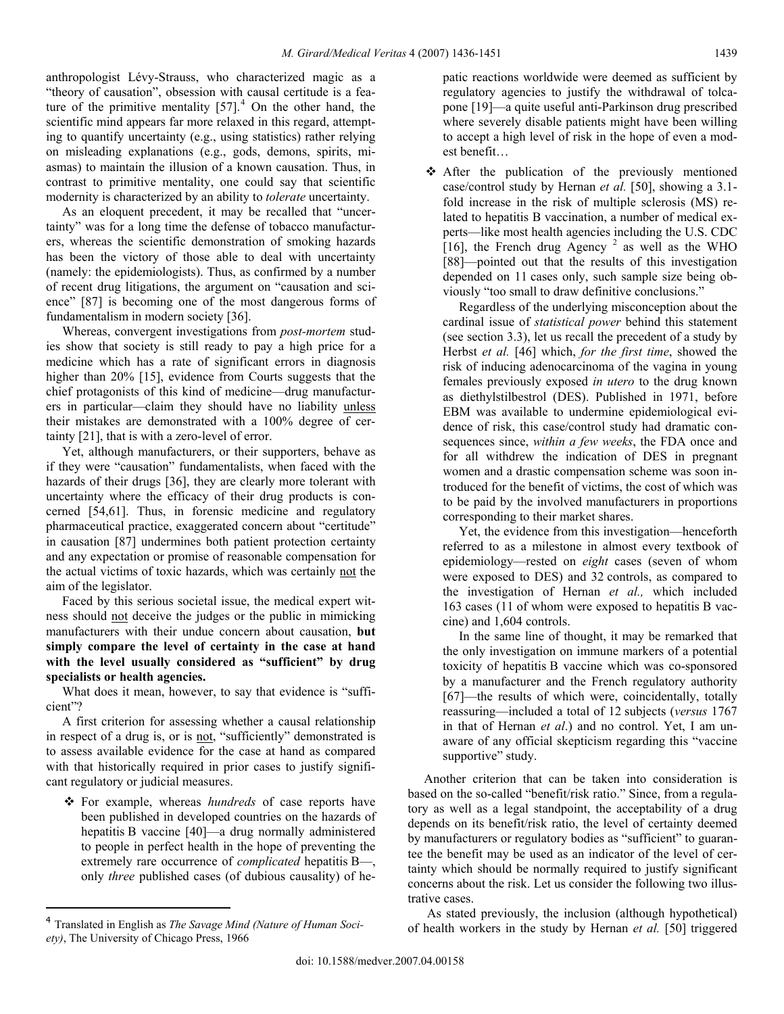anthropologist Lévy-Strauss, who characterized magic as a "theory of causation", obsession with causal certitude is a feature of the primitive mentality  $[57]$ <sup>[4](#page-3-0)</sup>. On the other hand, the scientific mind appears far more relaxed in this regard, attempting to quantify uncertainty (e.g., using statistics) rather relying on misleading explanations (e.g., gods, demons, spirits, miasmas) to maintain the illusion of a known causation. Thus, in contrast to primitive mentality, one could say that scientific modernity is characterized by an ability to *tolerate* uncertainty.

 As an eloquent precedent, it may be recalled that "uncertainty" was for a long time the defense of tobacco manufacturers, whereas the scientific demonstration of smoking hazards has been the victory of those able to deal with uncertainty (namely: the epidemiologists). Thus, as confirmed by a number of recent drug litigations, the argument on "causation and science" [87] is becoming one of the most dangerous forms of fundamentalism in modern society [36].

 Whereas, convergent investigations from *post-mortem* studies show that society is still ready to pay a high price for a medicine which has a rate of significant errors in diagnosis higher than 20% [15], evidence from Courts suggests that the chief protagonists of this kind of medicine—drug manufacturers in particular—claim they should have no liability unless their mistakes are demonstrated with a 100% degree of certainty [21], that is with a zero-level of error.

 Yet, although manufacturers, or their supporters, behave as if they were "causation" fundamentalists, when faced with the hazards of their drugs [36], they are clearly more tolerant with uncertainty where the efficacy of their drug products is concerned [54,61]. Thus, in forensic medicine and regulatory pharmaceutical practice, exaggerated concern about "certitude" in causation [87] undermines both patient protection certainty and any expectation or promise of reasonable compensation for the actual victims of toxic hazards, which was certainly not the aim of the legislator.

 Faced by this serious societal issue, the medical expert witness should not deceive the judges or the public in mimicking manufacturers with their undue concern about causation, **but simply compare the level of certainty in the case at hand with the level usually considered as "sufficient" by drug specialists or health agencies.**

 What does it mean, however, to say that evidence is "sufficient"?

 A first criterion for assessing whether a causal relationship in respect of a drug is, or is not, "sufficiently" demonstrated is to assess available evidence for the case at hand as compared with that historically required in prior cases to justify significant regulatory or judicial measures.

 For example, whereas *hundreds* of case reports have been published in developed countries on the hazards of hepatitis B vaccine [40]—a drug normally administered to people in perfect health in the hope of preventing the extremely rare occurrence of *complicated* hepatitis B—, only *three* published cases (of dubious causality) of he-

 $\overline{a}$ 

patic reactions worldwide were deemed as sufficient by regulatory agencies to justify the withdrawal of tolcapone [19]—a quite useful anti-Parkinson drug prescribed where severely disable patients might have been willing to accept a high level of risk in the hope of even a modest benefit…

 After the publication of the previously mentioned case/control study by Hernan *et al.* [50], showing a 3.1 fold increase in the risk of multiple sclerosis (MS) related to hepatitis B vaccination, a number of medical experts—like most health agencies including the U.S. CDC [16], the French drug Agency<sup>2</sup> as well as the WHO [88]—pointed out that the results of this investigation depended on 11 cases only, such sample size being obviously "too small to draw definitive conclusions."

 Regardless of the underlying misconception about the cardinal issue of *statistical power* behind this statement (see section 3.3), let us recall the precedent of a study by Herbst *et al.* [46] which, *for the first time*, showed the risk of inducing adenocarcinoma of the vagina in young females previously exposed *in utero* to the drug known as diethylstilbestrol (DES). Published in 1971, before EBM was available to undermine epidemiological evidence of risk, this case/control study had dramatic consequences since, *within a few weeks*, the FDA once and for all withdrew the indication of DES in pregnant women and a drastic compensation scheme was soon introduced for the benefit of victims, the cost of which was to be paid by the involved manufacturers in proportions corresponding to their market shares.

 Yet, the evidence from this investigation—henceforth referred to as a milestone in almost every textbook of epidemiology—rested on *eight* cases (seven of whom were exposed to DES) and 32 controls, as compared to the investigation of Hernan *et al.,* which included 163 cases (11 of whom were exposed to hepatitis B vaccine) and 1,604 controls.

 In the same line of thought, it may be remarked that the only investigation on immune markers of a potential toxicity of hepatitis B vaccine which was co-sponsored by a manufacturer and the French regulatory authority [67]—the results of which were, coincidentally, totally reassuring—included a total of 12 subjects (*versus* 1767 in that of Hernan *et al*.) and no control. Yet, I am unaware of any official skepticism regarding this "vaccine supportive" study.

 Another criterion that can be taken into consideration is based on the so-called "benefit/risk ratio." Since, from a regulatory as well as a legal standpoint, the acceptability of a drug depends on its benefit/risk ratio, the level of certainty deemed by manufacturers or regulatory bodies as "sufficient" to guarantee the benefit may be used as an indicator of the level of certainty which should be normally required to justify significant concerns about the risk. Let us consider the following two illustrative cases.

 As stated previously, the inclusion (although hypothetical) of health workers in the study by Hernan *et al.* [50] triggered

<span id="page-3-0"></span><sup>4</sup> Translated in English as *The Savage Mind (Nature of Human Society)*, The University of Chicago Press, 1966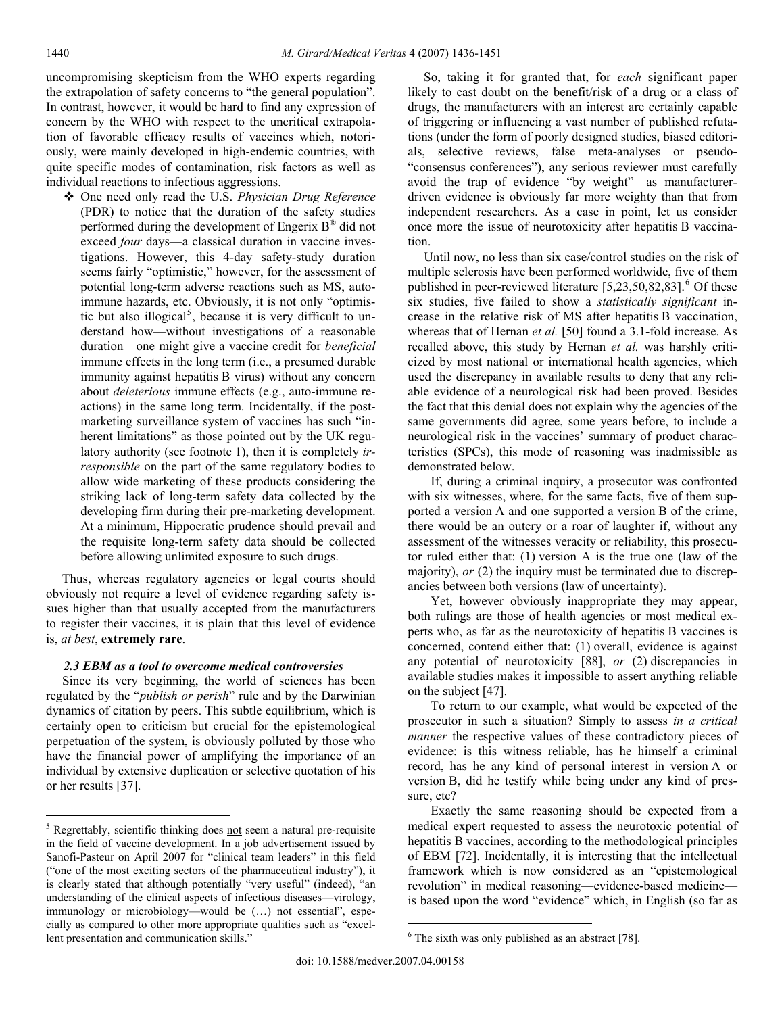uncompromising skepticism from the WHO experts regarding the extrapolation of safety concerns to "the general population". In contrast, however, it would be hard to find any expression of concern by the WHO with respect to the uncritical extrapolation of favorable efficacy results of vaccines which, notoriously, were mainly developed in high-endemic countries, with quite specific modes of contamination, risk factors as well as individual reactions to infectious aggressions.

 One need only read the U.S. *Physician Drug Reference* (PDR) to notice that the duration of the safety studies performed during the development of Engerix  $B^{\infty}$  did not exceed *four* days—a classical duration in vaccine investigations. However, this 4-day safety-study duration seems fairly "optimistic," however, for the assessment of potential long-term adverse reactions such as MS, autoimmune hazards, etc. Obviously, it is not only "optimis-tic but also illogical<sup>[5](#page-4-0)</sup>, because it is very difficult to understand how—without investigations of a reasonable duration—one might give a vaccine credit for *beneficial*  immune effects in the long term (i.e., a presumed durable immunity against hepatitis B virus) without any concern about *deleterious* immune effects (e.g., auto-immune reactions) in the same long term. Incidentally, if the postmarketing surveillance system of vaccines has such "inherent limitations" as those pointed out by the UK regulatory authority (see footnote [1\)](#page-2-3), then it is completely *irresponsible* on the part of the same regulatory bodies to allow wide marketing of these products considering the striking lack of long-term safety data collected by the developing firm during their pre-marketing development. At a minimum, Hippocratic prudence should prevail and the requisite long-term safety data should be collected before allowing unlimited exposure to such drugs.

 Thus, whereas regulatory agencies or legal courts should obviously not require a level of evidence regarding safety issues higher than that usually accepted from the manufacturers to register their vaccines, it is plain that this level of evidence is, *at best*, **extremely rare**.

## *2.3 EBM as a tool to overcome medical controversies*

 Since its very beginning, the world of sciences has been regulated by the "*publish or perish*" rule and by the Darwinian dynamics of citation by peers. This subtle equilibrium, which is certainly open to criticism but crucial for the epistemological perpetuation of the system, is obviously polluted by those who have the financial power of amplifying the importance of an individual by extensive duplication or selective quotation of his or her results [37].

 So, taking it for granted that, for *each* significant paper likely to cast doubt on the benefit/risk of a drug or a class of drugs, the manufacturers with an interest are certainly capable of triggering or influencing a vast number of published refutations (under the form of poorly designed studies, biased editorials, selective reviews, false meta-analyses or pseudo- "consensus conferences"), any serious reviewer must carefully avoid the trap of evidence "by weight"—as manufacturerdriven evidence is obviously far more weighty than that from independent researchers. As a case in point, let us consider once more the issue of neurotoxicity after hepatitis B vaccination.

 Until now, no less than six case/control studies on the risk of multiple sclerosis have been performed worldwide, five of them published in peer-reviewed literature  $[5,23,50,82,83]$ <sup>[6](#page-4-1)</sup> Of these six studies, five failed to show a *statistically significant* increase in the relative risk of MS after hepatitis B vaccination, whereas that of Hernan *et al.* [50] found a 3.1-fold increase. As recalled above, this study by Hernan *et al.* was harshly criticized by most national or international health agencies, which used the discrepancy in available results to deny that any reliable evidence of a neurological risk had been proved. Besides the fact that this denial does not explain why the agencies of the same governments did agree, some years before, to include a neurological risk in the vaccines' summary of product characteristics (SPCs), this mode of reasoning was inadmissible as demonstrated below.

If, during a criminal inquiry, a prosecutor was confronted with six witnesses, where, for the same facts, five of them supported a version A and one supported a version B of the crime, there would be an outcry or a roar of laughter if, without any assessment of the witnesses veracity or reliability, this prosecutor ruled either that: (1) version A is the true one (law of the majority), *or* (2) the inquiry must be terminated due to discrepancies between both versions (law of uncertainty).

Yet, however obviously inappropriate they may appear, both rulings are those of health agencies or most medical experts who, as far as the neurotoxicity of hepatitis B vaccines is concerned, contend either that: (1) overall, evidence is against any potential of neurotoxicity [88], *or* (2) discrepancies in available studies makes it impossible to assert anything reliable on the subject [47].

To return to our example, what would be expected of the prosecutor in such a situation? Simply to assess *in a critical manner* the respective values of these contradictory pieces of evidence: is this witness reliable, has he himself a criminal record, has he any kind of personal interest in version A or version B, did he testify while being under any kind of pressure, etc?

Exactly the same reasoning should be expected from a medical expert requested to assess the neurotoxic potential of hepatitis B vaccines, according to the methodological principles of EBM [72]. Incidentally, it is interesting that the intellectual framework which is now considered as an "epistemological revolution" in medical reasoning—evidence-based medicine is based upon the word "evidence" which, in English (so far as

 $\overline{a}$ 

<span id="page-4-1"></span><span id="page-4-0"></span> $5$  Regrettably, scientific thinking does not seem a natural pre-requisite in the field of vaccine development. In a job advertisement issued by Sanofi-Pasteur on April 2007 for "clinical team leaders" in this field ("one of the most exciting sectors of the pharmaceutical industry"), it is clearly stated that although potentially "very useful" (indeed), "an understanding of the clinical aspects of infectious diseases—virology, immunology or microbiology—would be (…) not essential", especially as compared to other more appropriate qualities such as "excellent presentation and communication skills."

<sup>&</sup>lt;sup>6</sup> The sixth was only published as an abstract [78].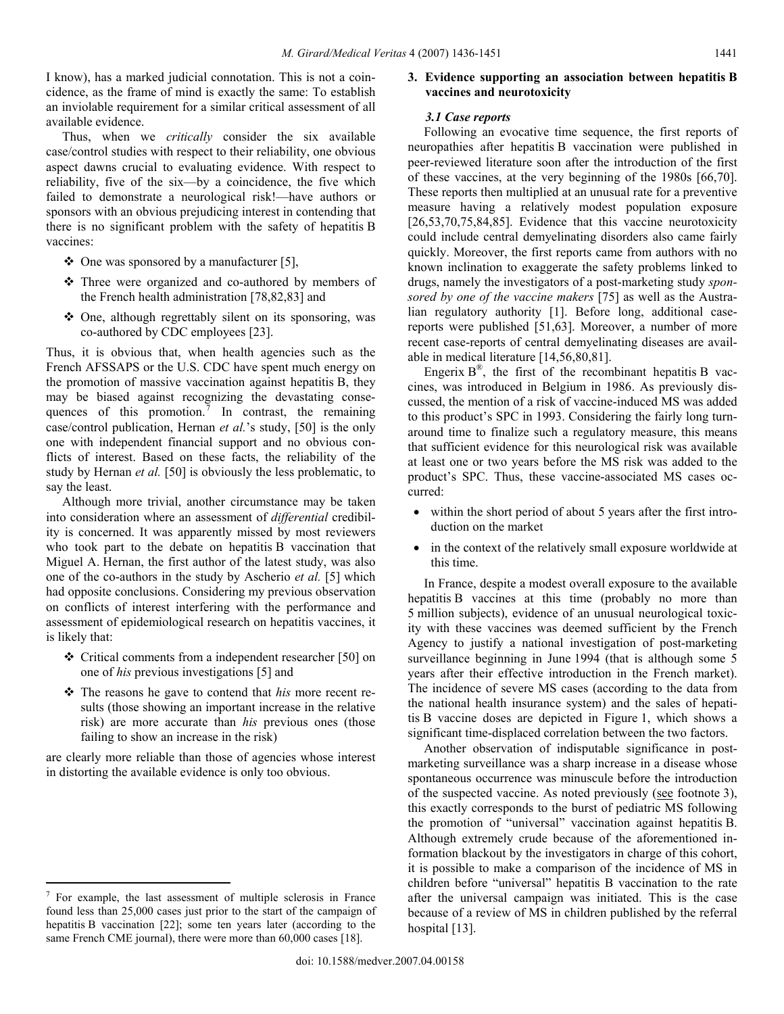I know), has a marked judicial connotation. This is not a coincidence, as the frame of mind is exactly the same: To establish an inviolable requirement for a similar critical assessment of all available evidence.

 Thus, when we *critically* consider the six available case/control studies with respect to their reliability, one obvious aspect dawns crucial to evaluating evidence. With respect to reliability, five of the six—by a coincidence, the five which failed to demonstrate a neurological risk!—have authors or sponsors with an obvious prejudicing interest in contending that there is no significant problem with the safety of hepatitis B vaccines:

- $\triangleq$  One was sponsored by a manufacturer [5],
- Three were organized and co-authored by members of the French health administration [78,82,83] and
- One, although regrettably silent on its sponsoring, was co-authored by CDC employees [23].

<span id="page-5-1"></span>Thus, it is obvious that, when health agencies such as the French AFSSAPS or the U.S. CDC have spent much energy on the promotion of massive vaccination against hepatitis B, they may be biased against recognizing the devastating conse-quences of this promotion.<sup>[7](#page-5-0)</sup> In contrast, the remaining case/control publication, Hernan *et al.*'s study, [50] is the only one with independent financial support and no obvious conflicts of interest. Based on these facts, the reliability of the study by Hernan *et al.* [50] is obviously the less problematic, to say the least.

 Although more trivial, another circumstance may be taken into consideration where an assessment of *differential* credibility is concerned. It was apparently missed by most reviewers who took part to the debate on hepatitis B vaccination that Miguel A. Hernan, the first author of the latest study, was also one of the co-authors in the study by Ascherio *et al.* [5] which had opposite conclusions. Considering my previous observation on conflicts of interest interfering with the performance and assessment of epidemiological research on hepatitis vaccines, it is likely that:

- Critical comments from a independent researcher [50] on one of *his* previous investigations [5] and
- The reasons he gave to contend that *his* more recent results (those showing an important increase in the relative risk) are more accurate than *his* previous ones (those failing to show an increase in the risk)

are clearly more reliable than those of agencies whose interest in distorting the available evidence is only too obvious.

 $\overline{a}$ 

# **3. Evidence supporting an association between hepatitis B vaccines and neurotoxicity**

## *3.1 Case reports*

 Following an evocative time sequence, the first reports of neuropathies after hepatitis B vaccination were published in peer-reviewed literature soon after the introduction of the first of these vaccines, at the very beginning of the 1980s [66,70]. These reports then multiplied at an unusual rate for a preventive measure having a relatively modest population exposure [26,53,70,75,84,85]. Evidence that this vaccine neurotoxicity could include central demyelinating disorders also came fairly quickly. Moreover, the first reports came from authors with no known inclination to exaggerate the safety problems linked to drugs, namely the investigators of a post-marketing study *sponsored by one of the vaccine makers* [75] as well as the Australian regulatory authority [1]. Before long, additional casereports were published [51,63]. Moreover, a number of more recent case-reports of central demyelinating diseases are available in medical literature [14,56,80,81].

Engerix  $B^{\mathcal{R}}$ , the first of the recombinant hepatitis B vaccines, was introduced in Belgium in 1986. As previously discussed, the mention of a risk of vaccine-induced MS was added to this product's SPC in 1993. Considering the fairly long turnaround time to finalize such a regulatory measure, this means that sufficient evidence for this neurological risk was available at least one or two years before the MS risk was added to the product's SPC. Thus, these vaccine-associated MS cases occurred:

- within the short period of about 5 years after the first introduction on the market
- in the context of the relatively small exposure worldwide at this time.

 In France, despite a modest overall exposure to the available hepatitis B vaccines at this time (probably no more than 5 million subjects), evidence of an unusual neurological toxicity with these vaccines was deemed sufficient by the French Agency to justify a national investigation of post-marketing surveillance beginning in June 1994 (that is although some 5 years after their effective introduction in the French market). The incidence of severe MS cases (according to the data from the national health insurance system) and the sales of hepatitis B vaccine doses are depicted in Figure 1, which shows a significant time-displaced correlation between the two factors.

 Another observation of indisputable significance in postmarketing surveillance was a sharp increase in a disease whose spontaneous occurrence was minuscule before the introduction of the suspected vaccine. As noted previously (see footnote [3](#page-2-4)), this exactly corresponds to the burst of pediatric MS following the promotion of "universal" vaccination against hepatitis B. Although extremely crude because of the aforementioned information blackout by the investigators in charge of this cohort, it is possible to make a comparison of the incidence of MS in children before "universal" hepatitis B vaccination to the rate after the universal campaign was initiated. This is the case because of a review of MS in children published by the referral hospital [13].

<span id="page-5-0"></span> $7$  For example, the last assessment of multiple sclerosis in France found less than 25,000 cases just prior to the start of the campaign of hepatitis B vaccination [22]; some ten years later (according to the same French CME journal), there were more than 60,000 cases [18].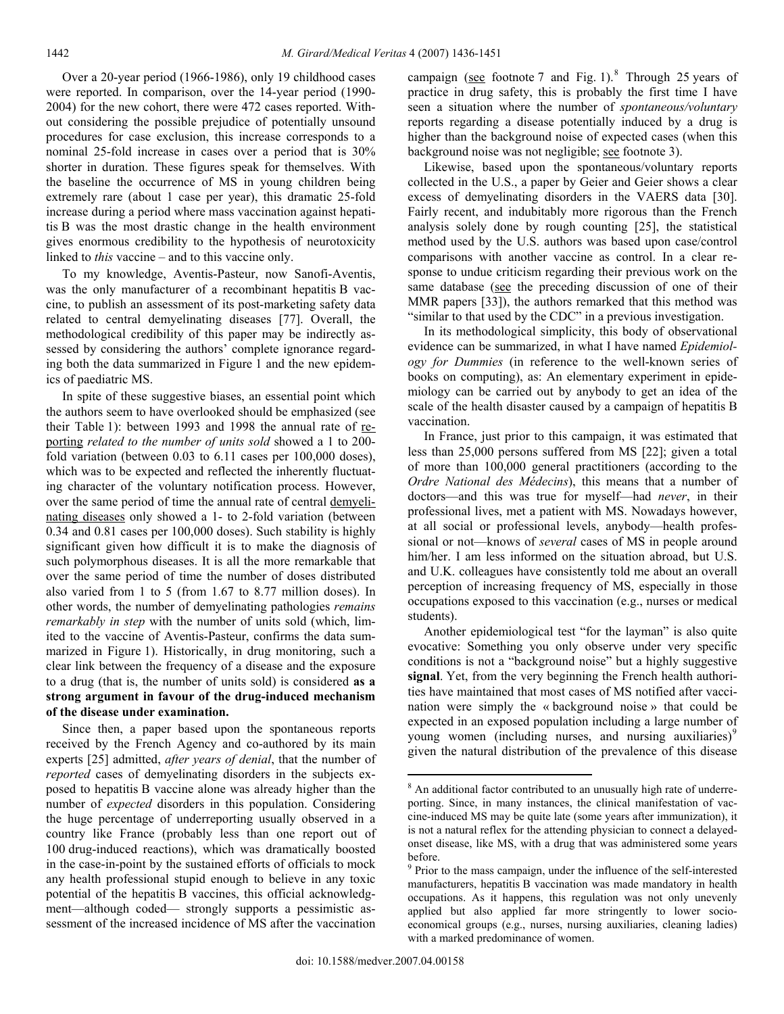Over a 20-year period (1966-1986), only 19 childhood cases were reported. In comparison, over the 14-year period (1990- 2004) for the new cohort, there were 472 cases reported. Without considering the possible prejudice of potentially unsound procedures for case exclusion, this increase corresponds to a nominal 25-fold increase in cases over a period that is 30% shorter in duration. These figures speak for themselves. With the baseline the occurrence of MS in young children being extremely rare (about 1 case per year), this dramatic 25-fold increase during a period where mass vaccination against hepatitis B was the most drastic change in the health environment gives enormous credibility to the hypothesis of neurotoxicity linked to *this* vaccine – and to this vaccine only.

 To my knowledge, Aventis-Pasteur, now Sanofi-Aventis, was the only manufacturer of a recombinant hepatitis B vaccine, to publish an assessment of its post-marketing safety data related to central demyelinating diseases [77]. Overall, the methodological credibility of this paper may be indirectly assessed by considering the authors' complete ignorance regarding both the data summarized in Figure 1 and the new epidemics of paediatric MS.

 In spite of these suggestive biases, an essential point which the authors seem to have overlooked should be emphasized (see their Table 1): between 1993 and 1998 the annual rate of reporting *related to the number of units sold* showed a 1 to 200 fold variation (between 0.03 to 6.11 cases per 100,000 doses), which was to be expected and reflected the inherently fluctuating character of the voluntary notification process. However, over the same period of time the annual rate of central demyelinating diseases only showed a 1- to 2-fold variation (between 0.34 and 0.81 cases per 100,000 doses). Such stability is highly significant given how difficult it is to make the diagnosis of such polymorphous diseases. It is all the more remarkable that over the same period of time the number of doses distributed also varied from 1 to 5 (from 1.67 to 8.77 million doses). In other words, the number of demyelinating pathologies *remains remarkably in step* with the number of units sold (which, limited to the vaccine of Aventis-Pasteur, confirms the data summarized in Figure 1). Historically, in drug monitoring, such a clear link between the frequency of a disease and the exposure to a drug (that is, the number of units sold) is considered **as a strong argument in favour of the drug-induced mechanism of the disease under examination.** 

<span id="page-6-1"></span><span id="page-6-0"></span> Since then, a paper based upon the spontaneous reports received by the French Agency and co-authored by its main experts [25] admitted, *after years of denial*, that the number of *reported* cases of demyelinating disorders in the subjects exposed to hepatitis B vaccine alone was already higher than the number of *expected* disorders in this population. Considering the huge percentage of underreporting usually observed in a country like France (probably less than one report out of 100 drug-induced reactions), which was dramatically boosted in the case-in-point by the sustained efforts of officials to mock any health professional stupid enough to believe in any toxic potential of the hepatitis B vaccines, this official acknowledgment—although coded— strongly supports a pessimistic assessment of the increased incidence of MS after the vaccination

campaign (see footnote [7](#page-5-1) and Fig. 1). <sup>[8](#page-6-0)</sup> Through 25 years of practice in drug safety, this is probably the first time I have seen a situation where the number of *spontaneous/voluntary* reports regarding a disease potentially induced by a drug is higher than the background noise of expected cases (when this background noise was not negligible; see footnote [3](#page-2-4)).

 Likewise, based upon the spontaneous/voluntary reports collected in the U.S., a paper by Geier and Geier shows a clear excess of demyelinating disorders in the VAERS data [30]. Fairly recent, and indubitably more rigorous than the French analysis solely done by rough counting [25], the statistical method used by the U.S. authors was based upon case/control comparisons with another vaccine as control. In a clear response to undue criticism regarding their previous work on the same database (see the preceding discussion of one of their MMR papers [33]), the authors remarked that this method was "similar to that used by the CDC" in a previous investigation.

 In its methodological simplicity, this body of observational evidence can be summarized, in what I have named *Epidemiology for Dummies* (in reference to the well-known series of books on computing), as: An elementary experiment in epidemiology can be carried out by anybody to get an idea of the scale of the health disaster caused by a campaign of hepatitis B vaccination.

 In France, just prior to this campaign, it was estimated that less than 25,000 persons suffered from MS [22]; given a total of more than 100,000 general practitioners (according to the *Ordre National des Médecins*), this means that a number of doctors—and this was true for myself—had *never*, in their professional lives, met a patient with MS. Nowadays however, at all social or professional levels, anybody—health professional or not—knows of *several* cases of MS in people around him/her. I am less informed on the situation abroad, but U.S. and U.K. colleagues have consistently told me about an overall perception of increasing frequency of MS, especially in those occupations exposed to this vaccination (e.g., nurses or medical students).

 Another epidemiological test "for the layman" is also quite evocative: Something you only observe under very specific conditions is not a "background noise" but a highly suggestive **signal**. Yet, from the very beginning the French health authorities have maintained that most cases of MS notified after vaccination were simply the « background noise » that could be expected in an exposed population including a large number of young women (including nurses, and nursing auxiliaries)<sup>[9](#page-6-1)</sup> given the natural distribution of the prevalence of this disease

<sup>&</sup>lt;sup>8</sup> An additional factor contributed to an unusually high rate of underreporting. Since, in many instances, the clinical manifestation of vaccine-induced MS may be quite late (some years after immunization), it is not a natural reflex for the attending physician to connect a delayedonset disease, like MS, with a drug that was administered some years before.

<sup>&</sup>lt;sup>9</sup> Prior to the mass campaign, under the influence of the self-interested manufacturers, hepatitis B vaccination was made mandatory in health occupations. As it happens, this regulation was not only unevenly applied but also applied far more stringently to lower socioeconomical groups (e.g., nurses, nursing auxiliaries, cleaning ladies) with a marked predominance of women.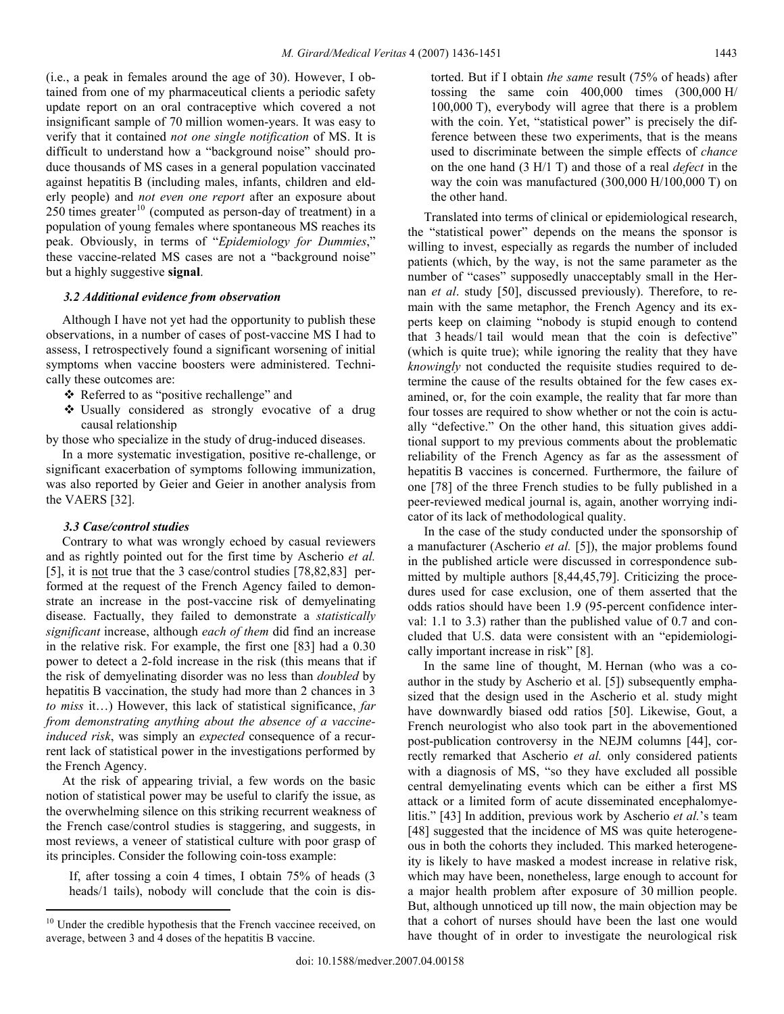(i.e., a peak in females around the age of 30). However, I obtained from one of my pharmaceutical clients a periodic safety update report on an oral contraceptive which covered a not insignificant sample of 70 million women-years. It was easy to verify that it contained *not one single notification* of MS. It is difficult to understand how a "background noise" should produce thousands of MS cases in a general population vaccinated against hepatitis B (including males, infants, children and elderly people) and *not even one report* after an exposure about  $250$  times greater<sup>[10](#page-7-0)</sup> (computed as person-day of treatment) in a population of young females where spontaneous MS reaches its peak. Obviously, in terms of "*Epidemiology for Dummies*," these vaccine-related MS cases are not a "background noise" but a highly suggestive **signal**.

## *3.2 Additional evidence from observation*

 Although I have not yet had the opportunity to publish these observations, in a number of cases of post-vaccine MS I had to assess, I retrospectively found a significant worsening of initial symptoms when vaccine boosters were administered. Technically these outcomes are:

- Referred to as "positive rechallenge" and
- Usually considered as strongly evocative of a drug causal relationship

by those who specialize in the study of drug-induced diseases.

 In a more systematic investigation, positive re-challenge, or significant exacerbation of symptoms following immunization, was also reported by Geier and Geier in another analysis from the VAERS [32].

#### *3.3 Case/control studies*

 $\overline{a}$ 

 Contrary to what was wrongly echoed by casual reviewers and as rightly pointed out for the first time by Ascherio *et al.* [5], it is <u>not</u> true that the 3 case/control studies [78,82,83] performed at the request of the French Agency failed to demonstrate an increase in the post-vaccine risk of demyelinating disease. Factually, they failed to demonstrate a *statistically significant* increase, although *each of them* did find an increase in the relative risk. For example, the first one [83] had a 0.30 power to detect a 2-fold increase in the risk (this means that if the risk of demyelinating disorder was no less than *doubled* by hepatitis B vaccination, the study had more than 2 chances in 3 *to miss* it…) However, this lack of statistical significance, *far from demonstrating anything about the absence of a vaccineinduced risk*, was simply an *expected* consequence of a recurrent lack of statistical power in the investigations performed by the French Agency.

 At the risk of appearing trivial, a few words on the basic notion of statistical power may be useful to clarify the issue, as the overwhelming silence on this striking recurrent weakness of the French case/control studies is staggering, and suggests, in most reviews, a veneer of statistical culture with poor grasp of its principles. Consider the following coin-toss example:

If, after tossing a coin 4 times, I obtain 75% of heads (3 heads/1 tails), nobody will conclude that the coin is distorted. But if I obtain *the same* result (75% of heads) after tossing the same coin 400,000 times (300,000 H/ 100,000 T), everybody will agree that there is a problem with the coin. Yet, "statistical power" is precisely the difference between these two experiments, that is the means used to discriminate between the simple effects of *chance* on the one hand (3 H/1 T) and those of a real *defect* in the way the coin was manufactured (300,000 H/100,000 T) on the other hand.

 Translated into terms of clinical or epidemiological research, the "statistical power" depends on the means the sponsor is willing to invest, especially as regards the number of included patients (which, by the way, is not the same parameter as the number of "cases" supposedly unacceptably small in the Hernan *et al*. study [50], discussed previously). Therefore, to remain with the same metaphor, the French Agency and its experts keep on claiming "nobody is stupid enough to contend that 3 heads/1 tail would mean that the coin is defective" (which is quite true); while ignoring the reality that they have *knowingly* not conducted the requisite studies required to determine the cause of the results obtained for the few cases examined, or, for the coin example, the reality that far more than four tosses are required to show whether or not the coin is actually "defective." On the other hand, this situation gives additional support to my previous comments about the problematic reliability of the French Agency as far as the assessment of hepatitis B vaccines is concerned. Furthermore, the failure of one [78] of the three French studies to be fully published in a peer-reviewed medical journal is, again, another worrying indicator of its lack of methodological quality.

 In the case of the study conducted under the sponsorship of a manufacturer (Ascherio *et al.* [5]), the major problems found in the published article were discussed in correspondence submitted by multiple authors [8,44,45,79]. Criticizing the procedures used for case exclusion, one of them asserted that the odds ratios should have been 1.9 (95-percent confidence interval: 1.1 to 3.3) rather than the published value of 0.7 and concluded that U.S. data were consistent with an "epidemiologically important increase in risk" [8].

 In the same line of thought, M. Hernan (who was a coauthor in the study by Ascherio et al. [5]) subsequently emphasized that the design used in the Ascherio et al. study might have downwardly biased odd ratios [50]. Likewise, Gout, a French neurologist who also took part in the abovementioned post-publication controversy in the NEJM columns [44], correctly remarked that Ascherio *et al.* only considered patients with a diagnosis of MS, "so they have excluded all possible central demyelinating events which can be either a first MS attack or a limited form of acute disseminated encephalomyelitis." [43] In addition, previous work by Ascherio *et al.*'s team [48] suggested that the incidence of MS was quite heterogeneous in both the cohorts they included. This marked heterogeneity is likely to have masked a modest increase in relative risk, which may have been, nonetheless, large enough to account for a major health problem after exposure of 30 million people. But, although unnoticed up till now, the main objection may be that a cohort of nurses should have been the last one would have thought of in order to investigate the neurological risk

<span id="page-7-0"></span><sup>&</sup>lt;sup>10</sup> Under the credible hypothesis that the French vaccinee received, on average, between 3 and 4 doses of the hepatitis B vaccine.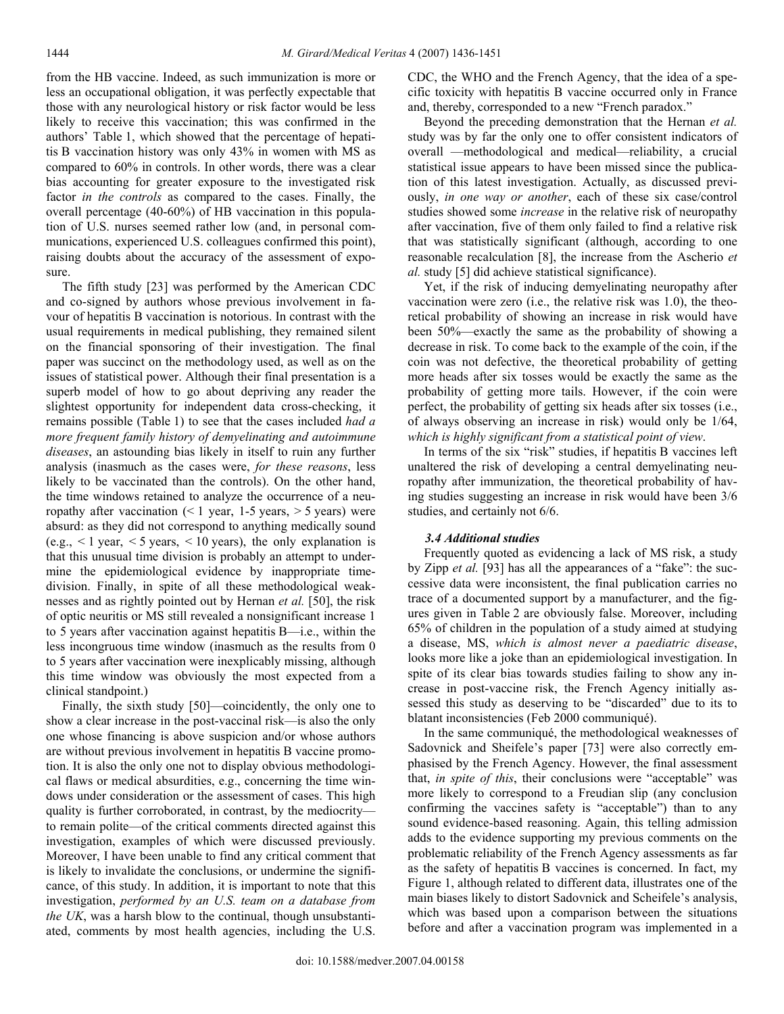from the HB vaccine. Indeed, as such immunization is more or less an occupational obligation, it was perfectly expectable that those with any neurological history or risk factor would be less likely to receive this vaccination; this was confirmed in the authors' Table 1, which showed that the percentage of hepatitis B vaccination history was only 43% in women with MS as compared to 60% in controls. In other words, there was a clear bias accounting for greater exposure to the investigated risk factor *in the controls* as compared to the cases. Finally, the overall percentage (40-60%) of HB vaccination in this population of U.S. nurses seemed rather low (and, in personal communications, experienced U.S. colleagues confirmed this point), raising doubts about the accuracy of the assessment of exposure.

 The fifth study [23] was performed by the American CDC and co-signed by authors whose previous involvement in favour of hepatitis B vaccination is notorious. In contrast with the usual requirements in medical publishing, they remained silent on the financial sponsoring of their investigation. The final paper was succinct on the methodology used, as well as on the issues of statistical power. Although their final presentation is a superb model of how to go about depriving any reader the slightest opportunity for independent data cross-checking, it remains possible (Table 1) to see that the cases included *had a more frequent family history of demyelinating and autoimmune diseases*, an astounding bias likely in itself to ruin any further analysis (inasmuch as the cases were, *for these reasons*, less likely to be vaccinated than the controls). On the other hand, the time windows retained to analyze the occurrence of a neuropathy after vaccination  $($  < 1 year, 1-5 years,  $>$  5 years) were absurd: as they did not correspond to anything medically sound  $(e.g., < 1$  year,  $< 5$  years,  $< 10$  years), the only explanation is that this unusual time division is probably an attempt to undermine the epidemiological evidence by inappropriate timedivision. Finally, in spite of all these methodological weaknesses and as rightly pointed out by Hernan *et al.* [50], the risk of optic neuritis or MS still revealed a nonsignificant increase 1 to 5 years after vaccination against hepatitis B—i.e., within the less incongruous time window (inasmuch as the results from 0 to 5 years after vaccination were inexplicably missing, although this time window was obviously the most expected from a clinical standpoint.)

 Finally, the sixth study [50]—coincidently, the only one to show a clear increase in the post-vaccinal risk—is also the only one whose financing is above suspicion and/or whose authors are without previous involvement in hepatitis B vaccine promotion. It is also the only one not to display obvious methodological flaws or medical absurdities, e.g., concerning the time windows under consideration or the assessment of cases. This high quality is further corroborated, in contrast, by the mediocrity to remain polite—of the critical comments directed against this investigation, examples of which were discussed previously. Moreover, I have been unable to find any critical comment that is likely to invalidate the conclusions, or undermine the significance, of this study. In addition, it is important to note that this investigation, *performed by an U.S. team on a database from the UK*, was a harsh blow to the continual, though unsubstantiated, comments by most health agencies, including the U.S. CDC, the WHO and the French Agency, that the idea of a specific toxicity with hepatitis B vaccine occurred only in France and, thereby, corresponded to a new "French paradox."

 Beyond the preceding demonstration that the Hernan *et al.* study was by far the only one to offer consistent indicators of overall —methodological and medical—reliability, a crucial statistical issue appears to have been missed since the publication of this latest investigation. Actually, as discussed previously, *in one way or another*, each of these six case/control studies showed some *increase* in the relative risk of neuropathy after vaccination, five of them only failed to find a relative risk that was statistically significant (although, according to one reasonable recalculation [8], the increase from the Ascherio *et al.* study [5] did achieve statistical significance).

 Yet, if the risk of inducing demyelinating neuropathy after vaccination were zero (i.e., the relative risk was 1.0), the theoretical probability of showing an increase in risk would have been 50%—exactly the same as the probability of showing a decrease in risk. To come back to the example of the coin, if the coin was not defective, the theoretical probability of getting more heads after six tosses would be exactly the same as the probability of getting more tails. However, if the coin were perfect, the probability of getting six heads after six tosses (i.e., of always observing an increase in risk) would only be 1/64, *which is highly significant from a statistical point of view*.

 In terms of the six "risk" studies, if hepatitis B vaccines left unaltered the risk of developing a central demyelinating neuropathy after immunization, the theoretical probability of having studies suggesting an increase in risk would have been 3/6 studies, and certainly not 6/6.

## *3.4 Additional studies*

 Frequently quoted as evidencing a lack of MS risk, a study by Zipp *et al.* [93] has all the appearances of a "fake": the successive data were inconsistent, the final publication carries no trace of a documented support by a manufacturer, and the figures given in Table 2 are obviously false. Moreover, including 65% of children in the population of a study aimed at studying a disease, MS, *which is almost never a paediatric disease*, looks more like a joke than an epidemiological investigation. In spite of its clear bias towards studies failing to show any increase in post-vaccine risk, the French Agency initially assessed this study as deserving to be "discarded" due to its to blatant inconsistencies (Feb 2000 communiqué).

 In the same communiqué, the methodological weaknesses of Sadovnick and Sheifele's paper [73] were also correctly emphasised by the French Agency. However, the final assessment that, *in spite of this*, their conclusions were "acceptable" was more likely to correspond to a Freudian slip (any conclusion confirming the vaccines safety is "acceptable") than to any sound evidence-based reasoning. Again, this telling admission adds to the evidence supporting my previous comments on the problematic reliability of the French Agency assessments as far as the safety of hepatitis B vaccines is concerned. In fact, my Figure 1, although related to different data, illustrates one of the main biases likely to distort Sadovnick and Scheifele's analysis, which was based upon a comparison between the situations before and after a vaccination program was implemented in a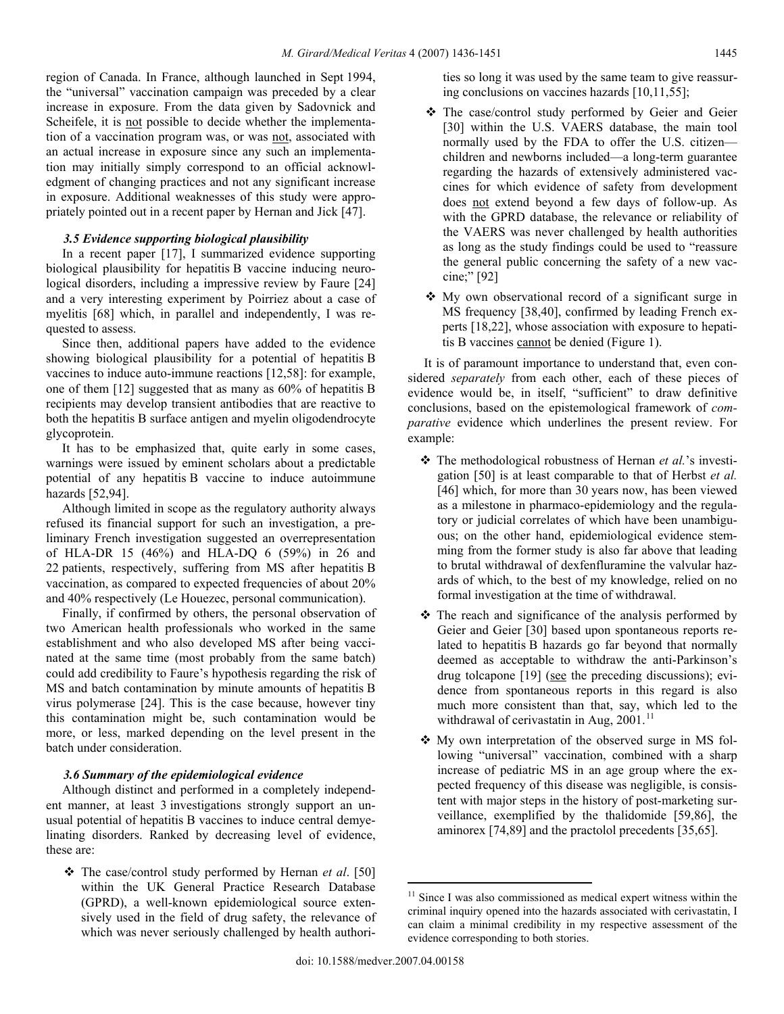region of Canada. In France, although launched in Sept 1994, the "universal" vaccination campaign was preceded by a clear increase in exposure. From the data given by Sadovnick and Scheifele, it is not possible to decide whether the implementation of a vaccination program was, or was not, associated with an actual increase in exposure since any such an implementation may initially simply correspond to an official acknowledgment of changing practices and not any significant increase in exposure. Additional weaknesses of this study were appropriately pointed out in a recent paper by Hernan and Jick [47].

# *3.5 Evidence supporting biological plausibility*

 In a recent paper [17], I summarized evidence supporting biological plausibility for hepatitis B vaccine inducing neurological disorders, including a impressive review by Faure [24] and a very interesting experiment by Poirriez about a case of myelitis [68] which, in parallel and independently, I was requested to assess.

 Since then, additional papers have added to the evidence showing biological plausibility for a potential of hepatitis B vaccines to induce auto-immune reactions [12,58]: for example, one of them [12] suggested that as many as 60% of hepatitis B recipients may develop transient antibodies that are reactive to both the hepatitis B surface antigen and myelin oligodendrocyte glycoprotein.

 It has to be emphasized that, quite early in some cases, warnings were issued by eminent scholars about a predictable potential of any hepatitis B vaccine to induce autoimmune hazards [52,94].

 Although limited in scope as the regulatory authority always refused its financial support for such an investigation, a preliminary French investigation suggested an overrepresentation of HLA-DR 15 (46%) and HLA-DQ 6 (59%) in 26 and 22 patients, respectively, suffering from MS after hepatitis B vaccination, as compared to expected frequencies of about 20% and 40% respectively (Le Houezec, personal communication).

 Finally, if confirmed by others, the personal observation of two American health professionals who worked in the same establishment and who also developed MS after being vaccinated at the same time (most probably from the same batch) could add credibility to Faure's hypothesis regarding the risk of MS and batch contamination by minute amounts of hepatitis B virus polymerase [24]. This is the case because, however tiny this contamination might be, such contamination would be more, or less, marked depending on the level present in the batch under consideration.

## *3.6 Summary of the epidemiological evidence*

 Although distinct and performed in a completely independent manner, at least 3 investigations strongly support an unusual potential of hepatitis B vaccines to induce central demyelinating disorders. Ranked by decreasing level of evidence, these are:

<span id="page-9-0"></span> The case/control study performed by Hernan *et al*. [50] within the UK General Practice Research Database (GPRD), a well-known epidemiological source extensively used in the field of drug safety, the relevance of which was never seriously challenged by health authori-

ties so long it was used by the same team to give reassuring conclusions on vaccines hazards [10,11,55];

- The case/control study performed by Geier and Geier [30] within the U.S. VAERS database, the main tool normally used by the FDA to offer the U.S. citizen children and newborns included—a long-term guarantee regarding the hazards of extensively administered vaccines for which evidence of safety from development does not extend beyond a few days of follow-up. As with the GPRD database, the relevance or reliability of the VAERS was never challenged by health authorities as long as the study findings could be used to "reassure the general public concerning the safety of a new vaccine;" [92]
- My own observational record of a significant surge in MS frequency [38,40], confirmed by leading French experts [18,22], whose association with exposure to hepatitis B vaccines cannot be denied (Figure 1).

 It is of paramount importance to understand that, even considered *separately* from each other, each of these pieces of evidence would be, in itself, "sufficient" to draw definitive conclusions, based on the epistemological framework of *comparative* evidence which underlines the present review. For example:

- The methodological robustness of Hernan *et al.*'s investigation [50] is at least comparable to that of Herbst *et al.* [46] which, for more than 30 years now, has been viewed as a milestone in pharmaco-epidemiology and the regulatory or judicial correlates of which have been unambiguous; on the other hand, epidemiological evidence stemming from the former study is also far above that leading to brutal withdrawal of dexfenfluramine the valvular hazards of which, to the best of my knowledge, relied on no formal investigation at the time of withdrawal.
- $\hat{\mathbf{v}}$  The reach and significance of the analysis performed by Geier and Geier [30] based upon spontaneous reports related to hepatitis B hazards go far beyond that normally deemed as acceptable to withdraw the anti-Parkinson's drug tolcapone [19] (see the preceding discussions); evidence from spontaneous reports in this regard is also much more consistent than that, say, which led to the withdrawal of cerivastatin in Aug,  $2001$ .<sup>[11](#page-9-0)</sup>
- My own interpretation of the observed surge in MS following "universal" vaccination, combined with a sharp increase of pediatric MS in an age group where the expected frequency of this disease was negligible, is consistent with major steps in the history of post-marketing surveillance, exemplified by the thalidomide [59,86], the aminorex [74,89] and the practolol precedents [35,65].

<sup>&</sup>lt;sup>11</sup> Since I was also commissioned as medical expert witness within the criminal inquiry opened into the hazards associated with cerivastatin, I can claim a minimal credibility in my respective assessment of the evidence corresponding to both stories.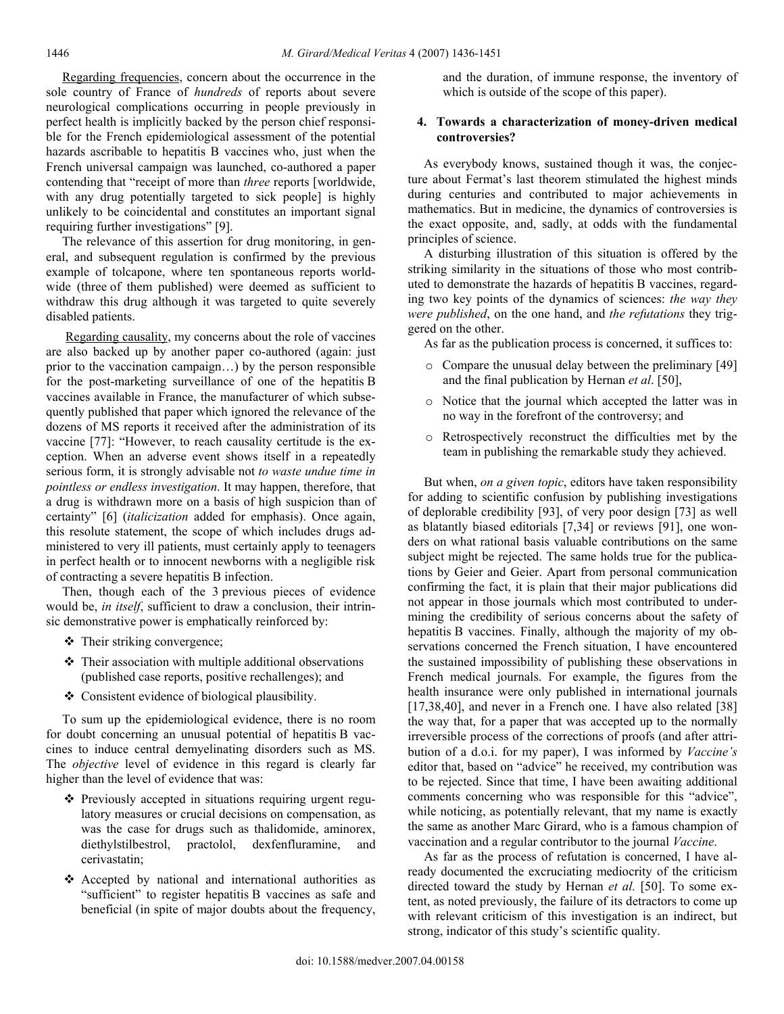Regarding frequencies, concern about the occurrence in the sole country of France of *hundreds* of reports about severe neurological complications occurring in people previously in perfect health is implicitly backed by the person chief responsible for the French epidemiological assessment of the potential hazards ascribable to hepatitis B vaccines who, just when the French universal campaign was launched, co-authored a paper contending that "receipt of more than *three* reports [worldwide, with any drug potentially targeted to sick people] is highly unlikely to be coincidental and constitutes an important signal requiring further investigations" [9].

 The relevance of this assertion for drug monitoring, in general, and subsequent regulation is confirmed by the previous example of tolcapone, where ten spontaneous reports worldwide (three of them published) were deemed as sufficient to withdraw this drug although it was targeted to quite severely disabled patients.

 Regarding causality, my concerns about the role of vaccines are also backed up by another paper co-authored (again: just prior to the vaccination campaign…) by the person responsible for the post-marketing surveillance of one of the hepatitis B vaccines available in France, the manufacturer of which subsequently published that paper which ignored the relevance of the dozens of MS reports it received after the administration of its vaccine [77]: "However, to reach causality certitude is the exception. When an adverse event shows itself in a repeatedly serious form, it is strongly advisable not *to waste undue time in pointless or endless investigation*. It may happen, therefore, that a drug is withdrawn more on a basis of high suspicion than of certainty" [6] (*italicization* added for emphasis). Once again, this resolute statement, the scope of which includes drugs administered to very ill patients, must certainly apply to teenagers in perfect health or to innocent newborns with a negligible risk of contracting a severe hepatitis B infection.

 Then, though each of the 3 previous pieces of evidence would be, *in itself*, sufficient to draw a conclusion, their intrinsic demonstrative power is emphatically reinforced by:

- Their striking convergence;
- Their association with multiple additional observations (published case reports, positive rechallenges); and
- Consistent evidence of biological plausibility.

 To sum up the epidemiological evidence, there is no room for doubt concerning an unusual potential of hepatitis B vaccines to induce central demyelinating disorders such as MS. The *objective* level of evidence in this regard is clearly far higher than the level of evidence that was:

- Previously accepted in situations requiring urgent regulatory measures or crucial decisions on compensation, as was the case for drugs such as thalidomide, aminorex, diethylstilbestrol, practolol, dexfenfluramine, and cerivastatin;
- $\triangle$  Accepted by national and international authorities as "sufficient" to register hepatitis B vaccines as safe and beneficial (in spite of major doubts about the frequency,

and the duration, of immune response, the inventory of which is outside of the scope of this paper).

## **4. Towards a characterization of money-driven medical controversies?**

 As everybody knows, sustained though it was, the conjecture about Fermat's last theorem stimulated the highest minds during centuries and contributed to major achievements in mathematics. But in medicine, the dynamics of controversies is the exact opposite, and, sadly, at odds with the fundamental principles of science.

 A disturbing illustration of this situation is offered by the striking similarity in the situations of those who most contributed to demonstrate the hazards of hepatitis B vaccines, regarding two key points of the dynamics of sciences: *the way they were published*, on the one hand, and *the refutations* they triggered on the other.

As far as the publication process is concerned, it suffices to:

- o Compare the unusual delay between the preliminary [49] and the final publication by Hernan *et al*. [50],
- o Notice that the journal which accepted the latter was in no way in the forefront of the controversy; and
- o Retrospectively reconstruct the difficulties met by the team in publishing the remarkable study they achieved.

 But when, *on a given topic*, editors have taken responsibility for adding to scientific confusion by publishing investigations of deplorable credibility [93], of very poor design [73] as well as blatantly biased editorials [7,34] or reviews [91], one wonders on what rational basis valuable contributions on the same subject might be rejected. The same holds true for the publications by Geier and Geier. Apart from personal communication confirming the fact, it is plain that their major publications did not appear in those journals which most contributed to undermining the credibility of serious concerns about the safety of hepatitis B vaccines. Finally, although the majority of my observations concerned the French situation, I have encountered the sustained impossibility of publishing these observations in French medical journals. For example, the figures from the health insurance were only published in international journals [17,38,40], and never in a French one. I have also related [38] the way that, for a paper that was accepted up to the normally irreversible process of the corrections of proofs (and after attribution of a d.o.i. for my paper), I was informed by *Vaccine's* editor that, based on "advice" he received, my contribution was to be rejected. Since that time, I have been awaiting additional comments concerning who was responsible for this "advice", while noticing, as potentially relevant, that my name is exactly the same as another Marc Girard, who is a famous champion of vaccination and a regular contributor to the journal *Vaccine*.

 As far as the process of refutation is concerned, I have already documented the excruciating mediocrity of the criticism directed toward the study by Hernan et al. [50]. To some extent, as noted previously, the failure of its detractors to come up with relevant criticism of this investigation is an indirect, but strong, indicator of this study's scientific quality.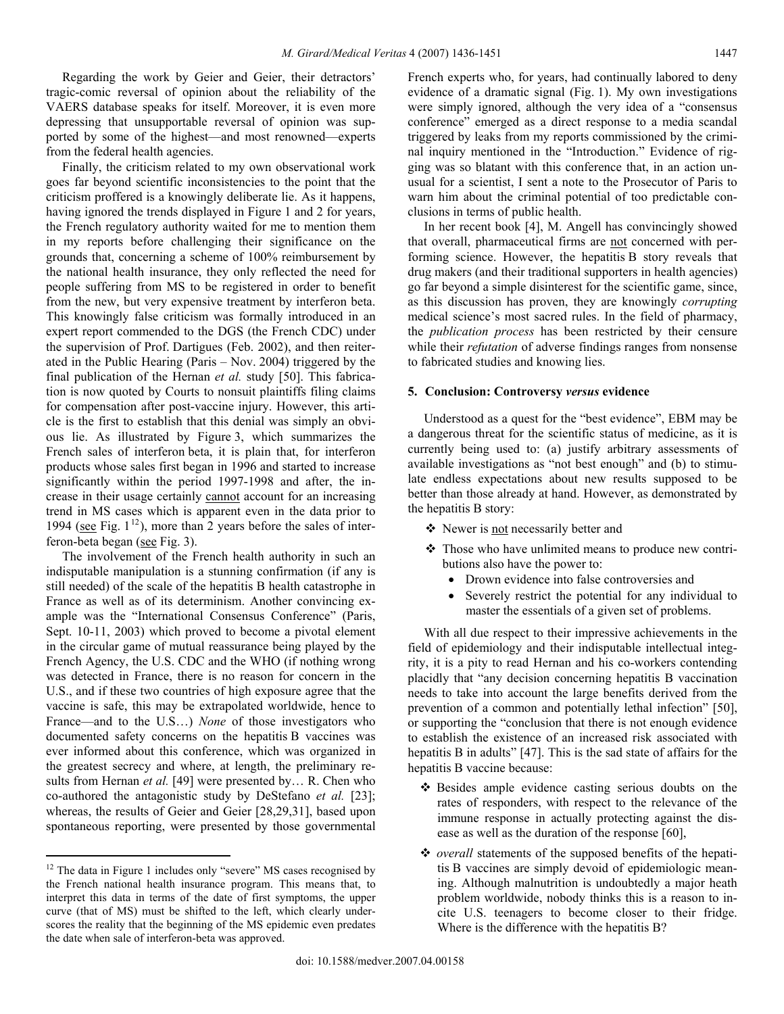Regarding the work by Geier and Geier, their detractors' tragic-comic reversal of opinion about the reliability of the VAERS database speaks for itself. Moreover, it is even more depressing that unsupportable reversal of opinion was supported by some of the highest—and most renowned—experts from the federal health agencies.

 Finally, the criticism related to my own observational work goes far beyond scientific inconsistencies to the point that the criticism proffered is a knowingly deliberate lie. As it happens, having ignored the trends displayed in Figure 1 and 2 for years, the French regulatory authority waited for me to mention them in my reports before challenging their significance on the grounds that, concerning a scheme of 100% reimbursement by the national health insurance, they only reflected the need for people suffering from MS to be registered in order to benefit from the new, but very expensive treatment by interferon beta. This knowingly false criticism was formally introduced in an expert report commended to the DGS (the French CDC) under the supervision of Prof. Dartigues (Feb. 2002), and then reiterated in the Public Hearing (Paris – Nov. 2004) triggered by the final publication of the Hernan *et al.* study [50]. This fabrication is now quoted by Courts to nonsuit plaintiffs filing claims for compensation after post-vaccine injury. However, this article is the first to establish that this denial was simply an obvious lie. As illustrated by Figure 3, which summarizes the French sales of interferon beta, it is plain that, for interferon products whose sales first began in 1996 and started to increase significantly within the period 1997-1998 and after, the increase in their usage certainly cannot account for an increasing trend in MS cases which is apparent even in the data prior to 1994 (see Fig.  $1^{12}$  $1^{12}$  $1^{12}$ ), more than 2 years before the sales of interferon-beta began (see Fig. 3).

 The involvement of the French health authority in such an indisputable manipulation is a stunning confirmation (if any is still needed) of the scale of the hepatitis B health catastrophe in France as well as of its determinism. Another convincing example was the "International Consensus Conference" (Paris, Sept. 10-11, 2003) which proved to become a pivotal element in the circular game of mutual reassurance being played by the French Agency, the U.S. CDC and the WHO (if nothing wrong was detected in France, there is no reason for concern in the U.S., and if these two countries of high exposure agree that the vaccine is safe, this may be extrapolated worldwide, hence to France—and to the U.S…) *None* of those investigators who documented safety concerns on the hepatitis B vaccines was ever informed about this conference, which was organized in the greatest secrecy and where, at length, the preliminary results from Hernan *et al.* [49] were presented by… R. Chen who co-authored the antagonistic study by DeStefano *et al.* [23]; whereas, the results of Geier and Geier [28,29,31], based upon spontaneous reporting, were presented by those governmental

 $\overline{a}$ 

French experts who, for years, had continually labored to deny evidence of a dramatic signal (Fig. 1). My own investigations were simply ignored, although the very idea of a "consensus conference" emerged as a direct response to a media scandal triggered by leaks from my reports commissioned by the criminal inquiry mentioned in the "Introduction." Evidence of rigging was so blatant with this conference that, in an action unusual for a scientist, I sent a note to the Prosecutor of Paris to warn him about the criminal potential of too predictable conclusions in terms of public health.

 In her recent book [4], M. Angell has convincingly showed that overall, pharmaceutical firms are not concerned with performing science. However, the hepatitis B story reveals that drug makers (and their traditional supporters in health agencies) go far beyond a simple disinterest for the scientific game, since, as this discussion has proven, they are knowingly *corrupting*  medical science's most sacred rules. In the field of pharmacy, the *publication process* has been restricted by their censure while their *refutation* of adverse findings ranges from nonsense to fabricated studies and knowing lies.

#### **5. Conclusion: Controversy** *versus* **evidence**

 Understood as a quest for the "best evidence", EBM may be a dangerous threat for the scientific status of medicine, as it is currently being used to: (a) justify arbitrary assessments of available investigations as "not best enough" and (b) to stimulate endless expectations about new results supposed to be better than those already at hand. However, as demonstrated by the hepatitis B story:

- Newer is not necessarily better and
- Those who have unlimited means to produce new contributions also have the power to:
	- Drown evidence into false controversies and
	- Severely restrict the potential for any individual to master the essentials of a given set of problems.

 With all due respect to their impressive achievements in the field of epidemiology and their indisputable intellectual integrity, it is a pity to read Hernan and his co-workers contending placidly that "any decision concerning hepatitis B vaccination needs to take into account the large benefits derived from the prevention of a common and potentially lethal infection" [50], or supporting the "conclusion that there is not enough evidence to establish the existence of an increased risk associated with hepatitis B in adults" [47]. This is the sad state of affairs for the hepatitis B vaccine because:

- Besides ample evidence casting serious doubts on the rates of responders, with respect to the relevance of the immune response in actually protecting against the disease as well as the duration of the response [60],
- *overall* statements of the supposed benefits of the hepatitis B vaccines are simply devoid of epidemiologic meaning. Although malnutrition is undoubtedly a major heath problem worldwide, nobody thinks this is a reason to incite U.S. teenagers to become closer to their fridge. Where is the difference with the hepatitis B?

<span id="page-11-0"></span><sup>&</sup>lt;sup>12</sup> The data in Figure 1 includes only "severe" MS cases recognised by the French national health insurance program. This means that, to interpret this data in terms of the date of first symptoms, the upper curve (that of MS) must be shifted to the left, which clearly underscores the reality that the beginning of the MS epidemic even predates the date when sale of interferon-beta was approved.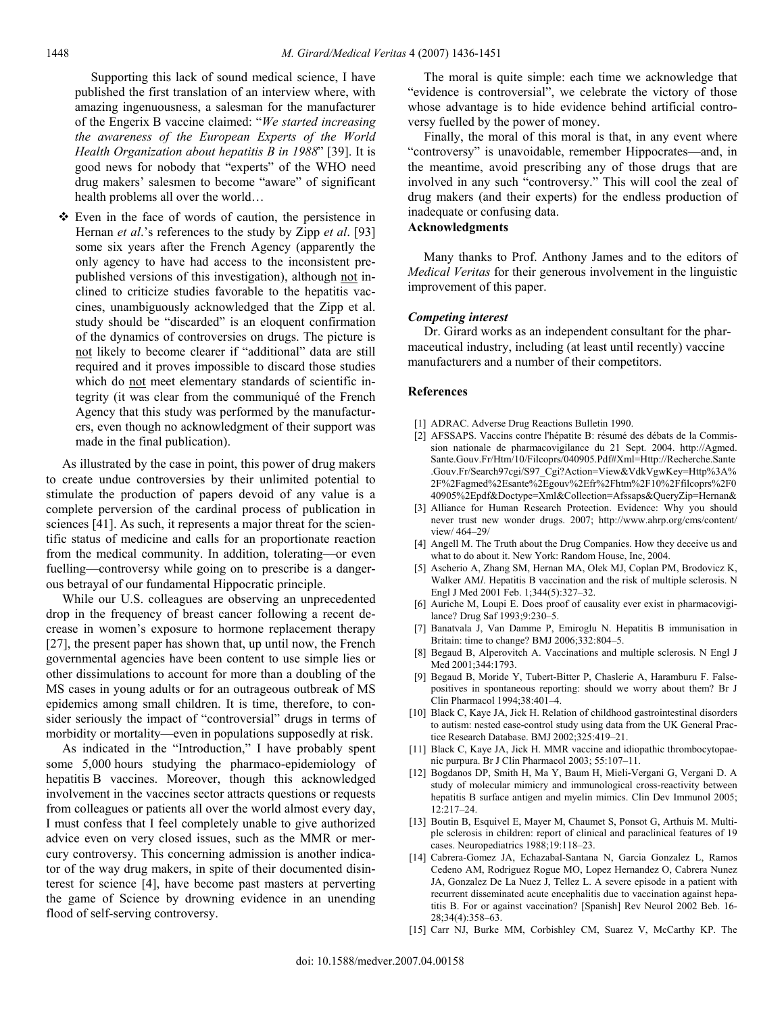Supporting this lack of sound medical science, I have published the first translation of an interview where, with amazing ingenuousness, a salesman for the manufacturer of the Engerix B vaccine claimed: "*We started increasing the awareness of the European Experts of the World Health Organization about hepatitis B in 1988*" [39]. It is good news for nobody that "experts" of the WHO need drug makers' salesmen to become "aware" of significant health problems all over the world…

 Even in the face of words of caution, the persistence in Hernan *et al*.'s references to the study by Zipp *et al*. [93] some six years after the French Agency (apparently the only agency to have had access to the inconsistent prepublished versions of this investigation), although not inclined to criticize studies favorable to the hepatitis vaccines, unambiguously acknowledged that the Zipp et al. study should be "discarded" is an eloquent confirmation of the dynamics of controversies on drugs. The picture is not likely to become clearer if "additional" data are still required and it proves impossible to discard those studies which do not meet elementary standards of scientific integrity (it was clear from the communiqué of the French Agency that this study was performed by the manufacturers, even though no acknowledgment of their support was made in the final publication).

 As illustrated by the case in point, this power of drug makers to create undue controversies by their unlimited potential to stimulate the production of papers devoid of any value is a complete perversion of the cardinal process of publication in sciences [41]. As such, it represents a major threat for the scientific status of medicine and calls for an proportionate reaction from the medical community. In addition, tolerating—or even fuelling—controversy while going on to prescribe is a dangerous betrayal of our fundamental Hippocratic principle.

 While our U.S. colleagues are observing an unprecedented drop in the frequency of breast cancer following a recent decrease in women's exposure to hormone replacement therapy [27], the present paper has shown that, up until now, the French governmental agencies have been content to use simple lies or other dissimulations to account for more than a doubling of the MS cases in young adults or for an outrageous outbreak of MS epidemics among small children. It is time, therefore, to consider seriously the impact of "controversial" drugs in terms of morbidity or mortality—even in populations supposedly at risk.

 As indicated in the "Introduction," I have probably spent some 5,000 hours studying the pharmaco-epidemiology of hepatitis B vaccines. Moreover, though this acknowledged involvement in the vaccines sector attracts questions or requests from colleagues or patients all over the world almost every day, I must confess that I feel completely unable to give authorized advice even on very closed issues, such as the MMR or mercury controversy. This concerning admission is another indicator of the way drug makers, in spite of their documented disinterest for science [4], have become past masters at perverting the game of Science by drowning evidence in an unending flood of self-serving controversy.

 The moral is quite simple: each time we acknowledge that "evidence is controversial", we celebrate the victory of those whose advantage is to hide evidence behind artificial controversy fuelled by the power of money.

 Finally, the moral of this moral is that, in any event where "controversy" is unavoidable, remember Hippocrates—and, in the meantime, avoid prescribing any of those drugs that are involved in any such "controversy." This will cool the zeal of drug makers (and their experts) for the endless production of inadequate or confusing data.

# **Acknowledgments**

 Many thanks to Prof. Anthony James and to the editors of *Medical Veritas* for their generous involvement in the linguistic improvement of this paper.

#### *Competing interest*

 Dr. Girard works as an independent consultant for the pharmaceutical industry, including (at least until recently) vaccine manufacturers and a number of their competitors.

#### **References**

- [1] ADRAC. Adverse Drug Reactions Bulletin 1990.
- [2] AFSSAPS. Vaccins contre l'hépatite B: résumé des débats de la Commission nationale de pharmacovigilance du 21 Sept. 2004. http://Agmed. Sante.Gouv.Fr/Htm/10/Filcoprs/040905.Pdf#Xml=Http://Recherche.Sante .Gouv.Fr/Search97cgi/S97\_Cgi?Action=View&VdkVgwKey=Http%3A% 2F%2Fagmed%2Esante%2Egouv%2Efr%2Fhtm%2F10%2Ffilcoprs%2F0 40905%2Epdf&Doctype=Xml&Collection=Afssaps&QueryZip=Hernan&
- [3] Alliance for Human Research Protection. Evidence: Why you should never trust new wonder drugs. 2007; http://www.ahrp.org/cms/content/ view/ 464–29/
- [4] Angell M. The Truth about the Drug Companies. How they deceive us and what to do about it. New York: Random House, Inc, 2004.
- [5] Ascherio A, Zhang SM, Hernan MA, Olek MJ, Coplan PM, Brodovicz K, Walker AM*l*. Hepatitis B vaccination and the risk of multiple sclerosis. N Engl J Med 2001 Feb. 1;344(5):327–32.
- [6] Auriche M, Loupi E. Does proof of causality ever exist in pharmacovigilance? Drug Saf 1993;9:230–5.
- [7] Banatvala J, Van Damme P, Emiroglu N. Hepatitis B immunisation in Britain: time to change? BMJ 2006;332:804–5.
- [8] Begaud B, Alperovitch A. Vaccinations and multiple sclerosis. N Engl J Med 2001;344:1793.
- [9] Begaud B, Moride Y, Tubert-Bitter P, Chaslerie A, Haramburu F. Falsepositives in spontaneous reporting: should we worry about them? Br J Clin Pharmacol 1994;38:401–4.
- [10] Black C, Kaye JA, Jick H. Relation of childhood gastrointestinal disorders to autism: nested case-control study using data from the UK General Practice Research Database. BMJ 2002;325:419–21.
- [11] Black C, Kaye JA, Jick H. MMR vaccine and idiopathic thrombocytopaenic purpura. Br J Clin Pharmacol 2003; 55:107–11.
- [12] Bogdanos DP, Smith H, Ma Y, Baum H, Mieli-Vergani G, Vergani D. A study of molecular mimicry and immunological cross-reactivity between hepatitis B surface antigen and myelin mimics. Clin Dev Immunol 2005;  $12.217 - 24$
- [13] Boutin B, Esquivel E, Mayer M, Chaumet S, Ponsot G, Arthuis M. Multiple sclerosis in children: report of clinical and paraclinical features of 19 cases. Neuropediatrics 1988;19:118–23.
- [14] Cabrera-Gomez JA, Echazabal-Santana N, Garcia Gonzalez L, Ramos Cedeno AM, Rodriguez Rogue MO, Lopez Hernandez O, Cabrera Nunez JA, Gonzalez De La Nuez J, Tellez L. A severe episode in a patient with recurrent disseminated acute encephalitis due to vaccination against hepatitis B. For or against vaccination? [Spanish] Rev Neurol 2002 Beb. 16- 28;34(4):358–63.
- [15] Carr NJ, Burke MM, Corbishley CM, Suarez V, McCarthy KP. The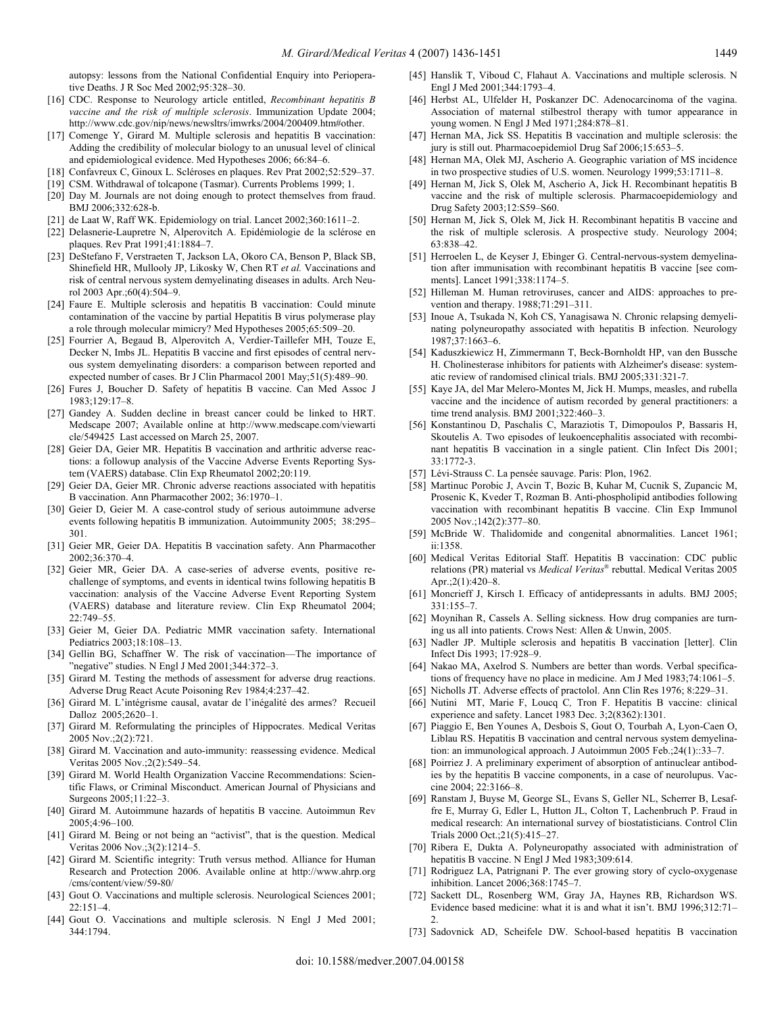autopsy: lessons from the National Confidential Enquiry into Perioperative Deaths. J R Soc Med 2002;95:328–30.

- [16] CDC. Response to Neurology article entitled, *Recombinant hepatitis B vaccine and the risk of multiple sclerosis*. Immunization Update 2004; http://www.cdc.gov/nip/news/newsltrs/imwrks/2004/200409.htm#other.
- [17] Comenge Y, Girard M. Multiple sclerosis and hepatitis B vaccination: Adding the credibility of molecular biology to an unusual level of clinical and epidemiological evidence. Med Hypotheses 2006; 66:84–6.
- [18] Confavreux C, Ginoux L. Scléroses en plaques. Rev Prat 2002;52:529–37.
- [19] CSM. Withdrawal of tolcapone (Tasmar). Currents Problems 1999; 1.
- [20] Day M. Journals are not doing enough to protect themselves from fraud. BMJ 2006;332:628-b.
- [21] de Laat W, Raff WK. Epidemiology on trial. Lancet 2002;360:1611–2.
- [22] Delasnerie-Laupretre N, Alperovitch A. Epidémiologie de la sclérose en plaques. Rev Prat 1991;41:1884–7.
- [23] DeStefano F, Verstraeten T, Jackson LA, Okoro CA, Benson P, Black SB, Shinefield HR, Mullooly JP, Likosky W, Chen RT *et al.* Vaccinations and risk of central nervous system demyelinating diseases in adults. Arch Neurol 2003 Apr.;60(4):504–9.
- [24] Faure E. Multiple sclerosis and hepatitis B vaccination: Could minute contamination of the vaccine by partial Hepatitis B virus polymerase play a role through molecular mimicry? Med Hypotheses 2005;65:509–20.
- [25] Fourrier A, Begaud B, Alperovitch A, Verdier-Taillefer MH, Touze E, Decker N, Imbs JL. Hepatitis B vaccine and first episodes of central nervous system demyelinating disorders: a comparison between reported and expected number of cases. Br J Clin Pharmacol 2001 May;51(5):489–90.
- [26] Fures J, Boucher D. Safety of hepatitis B vaccine. Can Med Assoc J 1983;129:17–8.
- [27] Gandey A. Sudden decline in breast cancer could be linked to HRT. Medscape 2007; Available online at http://www.medscape.com/viewarti cle/549425 Last accessed on March 25, 2007.
- [28] Geier DA, Geier MR. Hepatitis B vaccination and arthritic adverse reactions: a followup analysis of the Vaccine Adverse Events Reporting System (VAERS) database. Clin Exp Rheumatol 2002;20:119.
- [29] Geier DA, Geier MR. Chronic adverse reactions associated with hepatitis B vaccination. Ann Pharmacother 2002; 36:1970–1.
- [30] Geier D, Geier M. A case-control study of serious autoimmune adverse events following hepatitis B immunization. Autoimmunity 2005; 38:295– 301.
- [31] Geier MR, Geier DA. Hepatitis B vaccination safety. Ann Pharmacother 2002;36:370–4.
- [32] Geier MR, Geier DA. A case-series of adverse events, positive rechallenge of symptoms, and events in identical twins following hepatitis B vaccination: analysis of the Vaccine Adverse Event Reporting System (VAERS) database and literature review. Clin Exp Rheumatol 2004; 22:749–55.
- [33] Geier M, Geier DA. Pediatric MMR vaccination safety. International Pediatrics 2003;18:108–13.
- [34] Gellin BG, Schaffner W. The risk of vaccination—The importance of "negative" studies. N Engl J Med 2001;344:372–3.
- [35] Girard M. Testing the methods of assessment for adverse drug reactions. Adverse Drug React Acute Poisoning Rev 1984;4:237–42.
- [36] Girard M. L'intégrisme causal, avatar de l'inégalité des armes? Recueil Dalloz 2005;2620–1.
- [37] Girard M. Reformulating the principles of Hippocrates. Medical Veritas 2005 Nov.;2(2):721.
- [38] Girard M. Vaccination and auto-immunity: reassessing evidence. Medical Veritas 2005 Nov.;2(2):549–54.
- [39] Girard M. World Health Organization Vaccine Recommendations: Scientific Flaws, or Criminal Misconduct. American Journal of Physicians and Surgeons 2005;11:22–3.
- [40] Girard M. Autoimmune hazards of hepatitis B vaccine. Autoimmun Rev 2005;4:96–100.
- [41] Girard M. Being or not being an "activist", that is the question. Medical Veritas 2006 Nov.;3(2):1214–5.
- [42] Girard M. Scientific integrity: Truth versus method. Alliance for Human Research and Protection 2006. Available online at http://www.ahrp.org /cms/content/view/59-80/
- [43] Gout O. Vaccinations and multiple sclerosis. Neurological Sciences 2001; 22:151–4.
- [44] Gout O. Vaccinations and multiple sclerosis. N Engl J Med 2001; 344:1794.
- [45] Hanslik T, Viboud C, Flahaut A. Vaccinations and multiple sclerosis. N Engl J Med 2001;344:1793–4.
- [46] Herbst AL, Ulfelder H, Poskanzer DC. Adenocarcinoma of the vagina. Association of maternal stilbestrol therapy with tumor appearance in young women. N Engl J Med 1971;284:878–81.
- [47] Hernan MA, Jick SS. Hepatitis B vaccination and multiple sclerosis: the jury is still out. Pharmacoepidemiol Drug Saf 2006;15:653–5.
- [48] Hernan MA, Olek MJ, Ascherio A. Geographic variation of MS incidence in two prospective studies of U.S. women. Neurology 1999;53:1711–8.
- [49] Hernan M, Jick S, Olek M, Ascherio A, Jick H. Recombinant hepatitis B vaccine and the risk of multiple sclerosis. Pharmacoepidemiology and Drug Safety 2003;12:S59–S60.
- [50] Hernan M, Jick S, Olek M, Jick H. Recombinant hepatitis B vaccine and the risk of multiple sclerosis. A prospective study. Neurology 2004; 63:838–42.
- [51] Herroelen L, de Keyser J, Ebinger G. Central-nervous-system demyelination after immunisation with recombinant hepatitis B vaccine [see comments]. Lancet 1991;338:1174–5.
- [52] Hilleman M. Human retroviruses, cancer and AIDS: approaches to prevention and therapy. 1988;71:291–311.
- [53] Inoue A, Tsukada N, Koh CS, Yanagisawa N. Chronic relapsing demyelinating polyneuropathy associated with hepatitis B infection. Neurology 1987;37:1663–6.
- [54] Kaduszkiewicz H, Zimmermann T, Beck-Bornholdt HP, van den Bussche H. Cholinesterase inhibitors for patients with Alzheimer's disease: systematic review of randomised clinical trials. BMJ 2005;331:321-7.
- [55] Kaye JA, del Mar Melero-Montes M, Jick H. Mumps, measles, and rubella vaccine and the incidence of autism recorded by general practitioners: a time trend analysis. BMJ 2001;322:460–3.
- [56] Konstantinou D, Paschalis C, Maraziotis T, Dimopoulos P, Bassaris H, Skoutelis A. Two episodes of leukoencephalitis associated with recombinant hepatitis B vaccination in a single patient. Clin Infect Dis 2001; 33:1772-3.
- [57] Lévi-Strauss C. La pensée sauvage. Paris: Plon, 1962.
- [58] Martinuc Porobic J, Avcin T, Bozic B, Kuhar M, Cucnik S, Zupancic M, Prosenic K, Kveder T, Rozman B. Anti-phospholipid antibodies following vaccination with recombinant hepatitis B vaccine. Clin Exp Immunol 2005 Nov.;142(2):377–80.
- [59] McBride W. Thalidomide and congenital abnormalities. Lancet 1961; ii:1358.
- [60] Medical Veritas Editorial Staff. Hepatitis B vaccination: CDC public relations (PR) material vs *Medical Veritas*® rebuttal. Medical Veritas 2005 Apr.;2(1):420–8.
- [61] Moncrieff J, Kirsch I. Efficacy of antidepressants in adults. BMJ 2005; 331:155–7.
- [62] Moynihan R, Cassels A. Selling sickness. How drug companies are turning us all into patients. Crows Nest: Allen & Unwin, 2005.
- [63] Nadler JP. Multiple sclerosis and hepatitis B vaccination [letter]. Clin Infect Dis 1993; 17:928–9.
- [64] Nakao MA, Axelrod S. Numbers are better than words. Verbal specifications of frequency have no place in medicine. Am J Med 1983;74:1061–5.
- [65] Nicholls JT. Adverse effects of practolol. Ann Clin Res 1976; 8:229–31.
- [66] Nutini MT, Marie F, Loucq C*,* Tron F. Hepatitis B vaccine: clinical experience and safety. Lancet 1983 Dec. 3;2(8362):1301.
- [67] Piaggio E, Ben Younes A, Desbois S, Gout O, Tourbah A, Lyon-Caen O, Liblau RS. Hepatitis B vaccination and central nervous system demyelination: an immunological approach. J Autoimmun 2005 Feb.;24(1)::33–7.
- [68] Poirriez J. A preliminary experiment of absorption of antinuclear antibodies by the hepatitis B vaccine components, in a case of neurolupus. Vaccine 2004; 22:3166–8.
- [69] Ranstam J, Buyse M, George SL, Evans S, Geller NL, Scherrer B, Lesaffre E, Murray G, Edler L, Hutton JL, Colton T, Lachenbruch P. Fraud in medical research: An international survey of biostatisticians. Control Clin Trials 2000 Oct.;21(5):415–27.
- [70] Ribera E, Dukta A. Polyneuropathy associated with administration of hepatitis B vaccine. N Engl J Med 1983;309:614.
- [71] Rodriguez LA, Patrignani P. The ever growing story of cyclo-oxygenase inhibition. Lancet 2006;368:1745–7.
- [72] Sackett DL, Rosenberg WM, Gray JA, Haynes RB, Richardson WS. Evidence based medicine: what it is and what it isn't. BMJ 1996;312:71– 2.
- [73] Sadovnick AD, Scheifele DW. School-based hepatitis B vaccination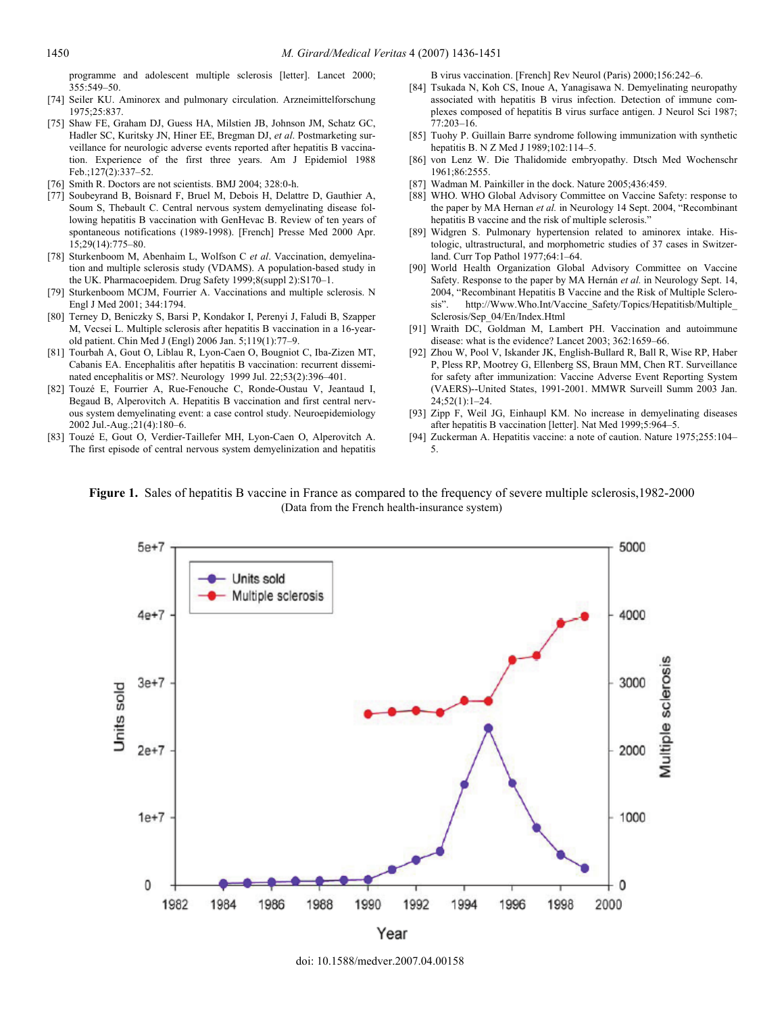programme and adolescent multiple sclerosis [letter]. Lancet 2000; 355:549–50.

- [74] Seiler KU. Aminorex and pulmonary circulation. Arzneimittelforschung 1975;25:837.
- [75] Shaw FE, Graham DJ, Guess HA, Milstien JB, Johnson JM, Schatz GC, Hadler SC, Kuritsky JN, Hiner EE, Bregman DJ, *et al*. Postmarketing surveillance for neurologic adverse events reported after hepatitis B vaccination. Experience of the first three years. Am J Epidemiol 1988 Feb.;127(2):337–52.
- [76] Smith R. Doctors are not scientists. BMJ 2004; 328:0-h.
- [77] Soubeyrand B, Boisnard F, Bruel M, Debois H, Delattre D, Gauthier A, Soum S, Thebault C. Central nervous system demyelinating disease following hepatitis B vaccination with GenHevac B. Review of ten years of spontaneous notifications (1989-1998). [French] Presse Med 2000 Apr.  $15:29(14):775-80$
- [78] Sturkenboom M, Abenhaim L, Wolfson C *et al*. Vaccination, demyelination and multiple sclerosis study (VDAMS). A population-based study in the UK. Pharmacoepidem. Drug Safety 1999;8(suppl 2):S170–1.
- [79] Sturkenboom MCJM, Fourrier A. Vaccinations and multiple sclerosis. N Engl J Med 2001; 344:1794.
- [80] Terney D, Beniczky S, Barsi P, Kondakor I, Perenyi J, Faludi B, Szapper M, Vecsei L. Multiple sclerosis after hepatitis B vaccination in a 16-yearold patient. Chin Med J (Engl) 2006 Jan. 5;119(1):77–9.
- [81] Tourbah A, Gout O, Liblau R, Lyon-Caen O, Bougniot C, Iba-Zizen MT, Cabanis EA. Encephalitis after hepatitis B vaccination: recurrent disseminated encephalitis or MS?. Neurology 1999 Jul. 22;53(2):396–401.
- [82] Touzé E, Fourrier A, Rue-Fenouche C, Ronde-Oustau V, Jeantaud I, Begaud B, Alperovitch A. Hepatitis B vaccination and first central nervous system demyelinating event: a case control study. Neuroepidemiology 2002 Jul.-Aug.;21(4):180–6.
- [83] Touzé E, Gout O, Verdier-Taillefer MH, Lyon-Caen O, Alperovitch A. The first episode of central nervous system demyelinization and hepatitis

B virus vaccination. [French] Rev Neurol (Paris) 2000;156:242–6.

- [84] Tsukada N, Koh CS, Inoue A, Yanagisawa N. Demyelinating neuropathy associated with hepatitis B virus infection. Detection of immune complexes composed of hepatitis B virus surface antigen. J Neurol Sci 1987; 77:203–16.
- [85] Tuohy P. Guillain Barre syndrome following immunization with synthetic hepatitis B. N Z Med J 1989;102:114–5.
- [86] von Lenz W. Die Thalidomide embryopathy. Dtsch Med Wochenschr 1961;86:2555.
- [87] Wadman M. Painkiller in the dock. Nature 2005;436:459.
- [88] WHO. WHO Global Advisory Committee on Vaccine Safety: response to the paper by MA Hernan *et al.* in Neurology 14 Sept. 2004, "Recombinant hepatitis B vaccine and the risk of multiple sclerosis."
- [89] Widgren S. Pulmonary hypertension related to aminorex intake. Histologic, ultrastructural, and morphometric studies of 37 cases in Switzerland. Curr Top Pathol 1977;64:1–64.
- [90] World Health Organization Global Advisory Committee on Vaccine Safety. Response to the paper by MA Hernán *et al.* in Neurology Sept. 14, 2004, "Recombinant Hepatitis B Vaccine and the Risk of Multiple Sclerosis". http://Www.Who.Int/Vaccine\_Safety/Topics/Hepatitisb/Multiple\_ Sclerosis/Sep\_04/En/Index.Html
- [91] Wraith DC, Goldman M, Lambert PH. Vaccination and autoimmune disease: what is the evidence? Lancet 2003; 362:1659–66.
- [92] Zhou W, Pool V, Iskander JK, English-Bullard R, Ball R, Wise RP, Haber P, Pless RP, Mootrey G, Ellenberg SS, Braun MM, Chen RT. Surveillance for safety after immunization: Vaccine Adverse Event Reporting System (VAERS)--United States, 1991-2001. MMWR Surveill Summ 2003 Jan. 24;52(1):1–24.
- [93] Zipp F, Weil JG, Einhaupl KM. No increase in demyelinating diseases after hepatitis B vaccination [letter]. Nat Med 1999;5:964–5.
- [94] Zuckerman A. Hepatitis vaccine: a note of caution. Nature 1975;255:104– 5.

**Figure 1.** Sales of hepatitis B vaccine in France as compared to the frequency of severe multiple sclerosis,1982-2000 (Data from the French health-insurance system)



doi: 10.1588/medver.2007.04.00158